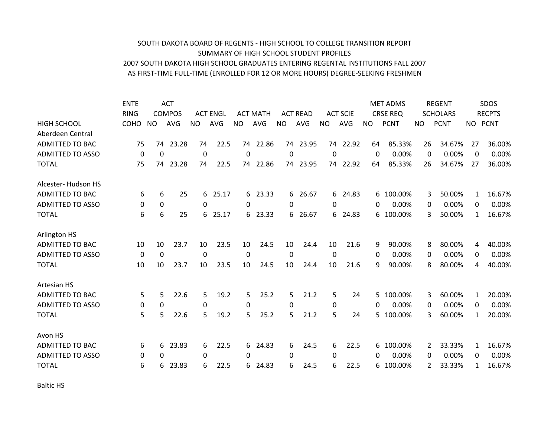## SOUTH DAKOTA BOARD OF REGENTS ‐ HIGH SCHOOL TO COLLEGE TRANSITION REPORT SUMMARY OF HIGH SCHOOL STUDENT PROFILES 2007 SOUTH DAKOTA HIGH SCHOOL GRADUATES ENTERING REGENTAL INSTITUTIONS FALL 2007 AS FIRST‐TIME FULL‐TIME (ENROLLED FOR 12 OR MORE HOURS) DEGREE‐SEEKING FRESHMEN

|                         | <b>ENTE</b> |             | <b>ACT</b>    |             |                 |           |                 |           |                 |          |                 |     | <b>MET ADMS</b> |     | <b>REGENT</b>   |              | <b>SDOS</b>   |
|-------------------------|-------------|-------------|---------------|-------------|-----------------|-----------|-----------------|-----------|-----------------|----------|-----------------|-----|-----------------|-----|-----------------|--------------|---------------|
|                         | <b>RING</b> |             | <b>COMPOS</b> |             | <b>ACT ENGL</b> |           | <b>ACT MATH</b> |           | <b>ACT READ</b> |          | <b>ACT SCIE</b> |     | <b>CRSE REQ</b> |     | <b>SCHOLARS</b> |              | <b>RECPTS</b> |
| <b>HIGH SCHOOL</b>      | <b>COHO</b> | <b>NO</b>   | <b>AVG</b>    | NO.         | <b>AVG</b>      | <b>NO</b> | <b>AVG</b>      | <b>NO</b> | <b>AVG</b>      | NO.      | <b>AVG</b>      | NO. | <b>PCNT</b>     | NO. | <b>PCNT</b>     | NO.          | <b>PCNT</b>   |
| Aberdeen Central        |             |             |               |             |                 |           |                 |           |                 |          |                 |     |                 |     |                 |              |               |
| <b>ADMITTED TO BAC</b>  | 75          | 74          | 23.28         | 74          | 22.5            | 74        | 22.86           |           | 74 23.95        |          | 74 22.92        | 64  | 85.33%          | 26  | 34.67%          | 27           | 36.00%        |
| <b>ADMITTED TO ASSO</b> | 0           | 0           |               | $\mathbf 0$ |                 | 0         |                 | 0         |                 | 0        |                 | 0   | 0.00%           | 0   | 0.00%           | 0            | 0.00%         |
| <b>TOTAL</b>            | 75          | 74          | 23.28         | 74          | 22.5            | 74        | 22.86           |           | 74 23.95        |          | 74 22.92        | 64  | 85.33%          | 26  | 34.67%          | 27           | 36.00%        |
| Alcester-Hudson HS      |             |             |               |             |                 |           |                 |           |                 |          |                 |     |                 |     |                 |              |               |
| <b>ADMITTED TO BAC</b>  | 6           | 6           | 25            | 6           | 25.17           | 6         | 23.33           |           | 6 26.67         | 6        | 24.83           | 6   | 100.00%         | 3   | 50.00%          | 1            | 16.67%        |
| <b>ADMITTED TO ASSO</b> | 0           | 0           |               | 0           |                 | 0         |                 | 0         |                 | 0        |                 | 0   | 0.00%           | 0   | 0.00%           | 0            | 0.00%         |
| <b>TOTAL</b>            | 6           | 6           | 25            | 6           | 25.17           | 6         | 23.33           |           | 6 26.67         |          | 6 24.83         | 6   | 100.00%         | 3   | 50.00%          | $\mathbf{1}$ | 16.67%        |
| <b>Arlington HS</b>     |             |             |               |             |                 |           |                 |           |                 |          |                 |     |                 |     |                 |              |               |
| <b>ADMITTED TO BAC</b>  | 10          | 10          | 23.7          | 10          | 23.5            | 10        | 24.5            | 10        | 24.4            | 10       | 21.6            | 9   | 90.00%          | 8   | 80.00%          | 4            | 40.00%        |
| <b>ADMITTED TO ASSO</b> | $\Omega$    | $\mathbf 0$ |               | 0           |                 | 0         |                 | $\Omega$  |                 | 0        |                 | 0   | 0.00%           | 0   | 0.00%           | 0            | 0.00%         |
| <b>TOTAL</b>            | 10          | 10          | 23.7          | 10          | 23.5            | 10        | 24.5            | 10        | 24.4            | 10       | 21.6            | 9   | 90.00%          | 8   | 80.00%          | 4            | 40.00%        |
| Artesian HS             |             |             |               |             |                 |           |                 |           |                 |          |                 |     |                 |     |                 |              |               |
| <b>ADMITTED TO BAC</b>  | 5           | 5           | 22.6          | 5           | 19.2            | 5.        | 25.2            | 5.        | 21.2            | 5        | 24              | 5.  | 100.00%         | 3   | 60.00%          | 1            | 20.00%        |
| <b>ADMITTED TO ASSO</b> | 0           | 0           |               | 0           |                 | $\Omega$  |                 | 0         |                 | $\Omega$ |                 | 0   | 0.00%           | 0   | 0.00%           | 0            | 0.00%         |
| <b>TOTAL</b>            | 5           | 5           | 22.6          | 5           | 19.2            | 5         | 25.2            | 5         | 21.2            | 5        | 24              | 5   | 100.00%         | 3   | 60.00%          | $\mathbf{1}$ | 20.00%        |
| Avon HS                 |             |             |               |             |                 |           |                 |           |                 |          |                 |     |                 |     |                 |              |               |
| <b>ADMITTED TO BAC</b>  | 6           | 6           | 23.83         | 6           | 22.5            | 6         | 24.83           | 6         | 24.5            | 6        | 22.5            | 6   | 100.00%         | 2   | 33.33%          | 1            | 16.67%        |
| <b>ADMITTED TO ASSO</b> | 0           | 0           |               | 0           |                 | 0         |                 | 0         |                 | 0        |                 | 0   | 0.00%           | 0   | 0.00%           | 0            | 0.00%         |
| <b>TOTAL</b>            | 6           | 6           | 23.83         | 6           | 22.5            | 6         | 24.83           | 6         | 24.5            | 6        | 22.5            | 6   | 100.00%         | 2   | 33.33%          | 1            | 16.67%        |
|                         |             |             |               |             |                 |           |                 |           |                 |          |                 |     |                 |     |                 |              |               |

Baltic HS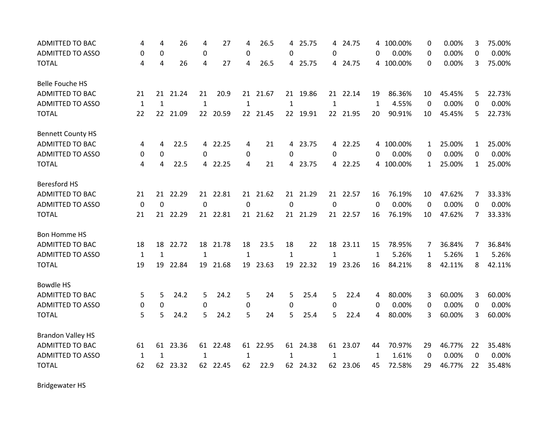| <b>ADMITTED TO BAC</b>   | 4            | 4                 | 26       | 4                | 27       | 4            | 26.5     | 4            | 25.75    |              | 4 24.75  |              | 4 100.00% | 0           | 0.00%  | 3              | 75.00% |
|--------------------------|--------------|-------------------|----------|------------------|----------|--------------|----------|--------------|----------|--------------|----------|--------------|-----------|-------------|--------|----------------|--------|
| <b>ADMITTED TO ASSO</b>  | 0            | 0                 |          | $\boldsymbol{0}$ |          | 0            |          | 0            |          | 0            |          | 0            | 0.00%     | 0           | 0.00%  | 0              | 0.00%  |
| <b>TOTAL</b>             | 4            | 4                 | 26       | 4                | 27       | 4            | 26.5     |              | 4 25.75  |              | 4 24.75  |              | 4 100.00% | 0           | 0.00%  | 3              | 75.00% |
| <b>Belle Fouche HS</b>   |              |                   |          |                  |          |              |          |              |          |              |          |              |           |             |        |                |        |
| <b>ADMITTED TO BAC</b>   | 21           | 21                | 21.24    | 21               | 20.9     |              | 21 21.67 |              | 21 19.86 |              | 21 22.14 | 19           | 86.36%    | 10          | 45.45% | 5              | 22.73% |
| <b>ADMITTED TO ASSO</b>  | $\mathbf{1}$ | $\mathbf{1}$      |          | $\mathbf 1$      |          | $\mathbf{1}$ |          | $\mathbf{1}$ |          | $\mathbf{1}$ |          | 1            | 4.55%     | $\mathbf 0$ | 0.00%  | 0              | 0.00%  |
| <b>TOTAL</b>             | 22           | $22 \overline{ }$ | 21.09    |                  | 22 20.59 |              | 22 21.45 |              | 22 19.91 |              | 22 21.95 | 20           | 90.91%    | 10          | 45.45% | 5.             | 22.73% |
| <b>Bennett County HS</b> |              |                   |          |                  |          |              |          |              |          |              |          |              |           |             |        |                |        |
| <b>ADMITTED TO BAC</b>   | 4            | 4                 | 22.5     |                  | 4 22.25  | 4            | 21       |              | 4 23.75  |              | 4 22.25  |              | 4 100.00% | 1           | 25.00% | 1              | 25.00% |
| <b>ADMITTED TO ASSO</b>  | 0            | 0                 |          | $\Omega$         |          | 0            |          | 0            |          | $\Omega$     |          | 0            | 0.00%     | 0           | 0.00%  | 0              | 0.00%  |
| <b>TOTAL</b>             | 4            | $\overline{4}$    | 22.5     |                  | 4 22.25  | 4            | 21       |              | 4 23.75  |              | 4 22.25  |              | 4 100.00% | 1           | 25.00% | $\mathbf{1}$   | 25.00% |
| <b>Beresford HS</b>      |              |                   |          |                  |          |              |          |              |          |              |          |              |           |             |        |                |        |
| <b>ADMITTED TO BAC</b>   | 21           | 21                | 22.29    |                  | 21 22.81 |              | 21 21.62 |              | 21 21.29 |              | 21 22.57 | 16           | 76.19%    | 10          | 47.62% | 7              | 33.33% |
| <b>ADMITTED TO ASSO</b>  | $\mathbf 0$  | 0                 |          | $\mathbf 0$      |          | $\Omega$     |          | $\mathbf 0$  |          | 0            |          | $\mathbf{0}$ | 0.00%     | 0           | 0.00%  | 0              | 0.00%  |
| <b>TOTAL</b>             | 21           |                   | 21 22.29 |                  | 21 22.81 |              | 21 21.62 |              | 21 21.29 |              | 21 22.57 | 16           | 76.19%    | 10          | 47.62% | $\overline{7}$ | 33.33% |
| <b>Bon Homme HS</b>      |              |                   |          |                  |          |              |          |              |          |              |          |              |           |             |        |                |        |
| ADMITTED TO BAC          | 18           | 18                | 22.72    | 18               | 21.78    | 18           | 23.5     | 18           | 22       | 18           | 23.11    | 15           | 78.95%    | 7           | 36.84% | 7              | 36.84% |
| <b>ADMITTED TO ASSO</b>  | 1            | 1                 |          | $\mathbf{1}$     |          | $\mathbf{1}$ |          | $\mathbf{1}$ |          | $\mathbf{1}$ |          | 1            | 5.26%     | 1           | 5.26%  | 1              | 5.26%  |
| <b>TOTAL</b>             | 19           | 19                | 22.84    | 19               | 21.68    | 19           | 23.63    |              | 19 22.32 | 19           | 23.26    | 16           | 84.21%    | 8           | 42.11% | 8              | 42.11% |
| <b>Bowdle HS</b>         |              |                   |          |                  |          |              |          |              |          |              |          |              |           |             |        |                |        |
| ADMITTED TO BAC          | 5            | 5                 | 24.2     | 5                | 24.2     | 5            | 24       | 5            | 25.4     | 5            | 22.4     | 4            | 80.00%    | 3           | 60.00% | 3              | 60.00% |
| <b>ADMITTED TO ASSO</b>  | 0            | 0                 |          | 0                |          | 0            |          | $\mathbf 0$  |          | 0            |          | 0            | 0.00%     | 0           | 0.00%  | 0              | 0.00%  |
| <b>TOTAL</b>             | 5            | 5                 | 24.2     | 5                | 24.2     | 5            | 24       | 5            | 25.4     | 5            | 22.4     | 4            | 80.00%    | 3           | 60.00% | 3              | 60.00% |
| <b>Brandon Valley HS</b> |              |                   |          |                  |          |              |          |              |          |              |          |              |           |             |        |                |        |
| <b>ADMITTED TO BAC</b>   | 61           | 61                | 23.36    |                  | 61 22.48 |              | 61 22.95 |              | 61 24.38 |              | 61 23.07 | 44           | 70.97%    | 29          | 46.77% | 22             | 35.48% |
| <b>ADMITTED TO ASSO</b>  | $\mathbf{1}$ | $\mathbf{1}$      |          | $\mathbf{1}$     |          | $\mathbf{1}$ |          | $\mathbf{1}$ |          | 1            |          | 1            | 1.61%     | 0           | 0.00%  | 0              | 0.00%  |
| <b>TOTAL</b>             | 62           | 62                | 23.32    |                  | 62 22.45 | 62           | 22.9     |              | 62 24.32 |              | 62 23.06 | 45           | 72.58%    | 29          | 46.77% | 22             | 35.48% |

Bridgewater HS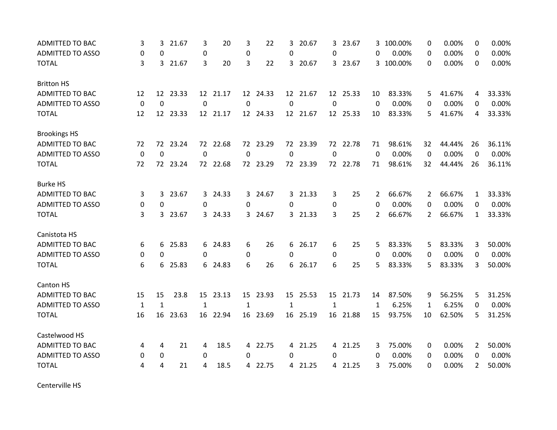| <b>ADMITTED TO BAC</b>  | 3           | 3               | 21.67    | 3            | 20       | 3              | 22       | 3           | 20.67    | 3            | 23.67    | 3           | 100.00%   | 0                     | 0.00%  | 0              | 0.00%  |
|-------------------------|-------------|-----------------|----------|--------------|----------|----------------|----------|-------------|----------|--------------|----------|-------------|-----------|-----------------------|--------|----------------|--------|
| <b>ADMITTED TO ASSO</b> | 0           | 0               |          | $\mathbf 0$  |          | $\pmb{0}$      |          | 0           |          | $\Omega$     |          | 0           | 0.00%     | 0                     | 0.00%  | $\Omega$       | 0.00%  |
| <b>TOTAL</b>            | 3           |                 | 3 21.67  | 3            | 20       | 3              | 22       |             | 3 20.67  |              | 3 23.67  |             | 3 100.00% | $\Omega$              | 0.00%  | 0              | 0.00%  |
| <b>Britton HS</b>       |             |                 |          |              |          |                |          |             |          |              |          |             |           |                       |        |                |        |
| <b>ADMITTED TO BAC</b>  | 12          |                 | 12 23.33 |              | 12 21.17 |                | 12 24.33 |             | 12 21.67 |              | 12 25.33 | 10          | 83.33%    | 5.                    | 41.67% | 4              | 33.33% |
| ADMITTED TO ASSO        | 0           | $\mathbf 0$     |          | 0            |          | 0              |          | $\mathbf 0$ |          | $\Omega$     |          | $\Omega$    | 0.00%     | 0                     | 0.00%  | $\Omega$       | 0.00%  |
| <b>TOTAL</b>            | 12          | 12 <sup>7</sup> | 23.33    |              | 12 21.17 |                | 12 24.33 |             | 12 21.67 |              | 12 25.33 | 10          | 83.33%    | 5                     | 41.67% | 4              | 33.33% |
| <b>Brookings HS</b>     |             |                 |          |              |          |                |          |             |          |              |          |             |           |                       |        |                |        |
| ADMITTED TO BAC         | 72          |                 | 72 23.24 |              | 72 22.68 |                | 72 23.29 |             | 72 23.39 |              | 72 22.78 | 71          | 98.61%    | 32                    | 44.44% | 26             | 36.11% |
| <b>ADMITTED TO ASSO</b> | $\mathbf 0$ | $\mathbf 0$     |          | $\mathbf 0$  |          | $\mathbf 0$    |          | $\mathbf 0$ |          | $\mathbf 0$  |          | $\mathbf 0$ | 0.00%     | $\mathbf 0$           | 0.00%  | $\Omega$       | 0.00%  |
| <b>TOTAL</b>            | 72          |                 | 72 23.24 |              | 72 22.68 |                | 72 23.29 |             | 72 23.39 |              | 72 22.78 | 71          | 98.61%    | 32                    | 44.44% | 26             | 36.11% |
| <b>Burke HS</b>         |             |                 |          |              |          |                |          |             |          |              |          |             |           |                       |        |                |        |
| <b>ADMITTED TO BAC</b>  | 3           | 3               | 23.67    |              | 3 24.33  | 3              | 24.67    |             | 3 21.33  | 3            | 25       | 2           | 66.67%    | $\overline{2}$        | 66.67% | $\mathbf{1}$   | 33.33% |
| <b>ADMITTED TO ASSO</b> | 0           | $\mathbf 0$     |          | 0            |          | 0              |          | 0           |          | 0            |          | 0           | 0.00%     | 0                     | 0.00%  | 0              | 0.00%  |
| <b>TOTAL</b>            | 3           | 3               | 23.67    |              | 3 24.33  |                | 3 24.67  |             | 3 21.33  | 3            | 25       | 2           | 66.67%    | $\mathbf{2}^{\prime}$ | 66.67% | $\mathbf{1}$   | 33.33% |
| Canistota HS            |             |                 |          |              |          |                |          |             |          |              |          |             |           |                       |        |                |        |
| <b>ADMITTED TO BAC</b>  | 6           | 6               | 25.83    |              | 6 24.83  | 6              | 26       |             | 6 26.17  | 6            | 25       | 5           | 83.33%    | 5                     | 83.33% | 3              | 50.00% |
| <b>ADMITTED TO ASSO</b> | 0           | 0               |          | 0            |          | 0              |          | 0           |          | 0            |          | 0           | 0.00%     | 0                     | 0.00%  | $\Omega$       | 0.00%  |
| <b>TOTAL</b>            | 6           |                 | 6 25.83  |              | 6 24.83  | 6              | 26       |             | 6 26.17  | 6            | 25       | 5           | 83.33%    | 5                     | 83.33% | 3              | 50.00% |
| Canton HS               |             |                 |          |              |          |                |          |             |          |              |          |             |           |                       |        |                |        |
| ADMITTED TO BAC         | 15          | 15              | 23.8     |              | 15 23.13 |                | 15 23.93 |             | 15 25.53 |              | 15 21.73 | 14          | 87.50%    | 9                     | 56.25% | 5              | 31.25% |
| <b>ADMITTED TO ASSO</b> | 1           | $\mathbf{1}$    |          | $\mathbf{1}$ |          | 1              |          | 1           |          | $\mathbf{1}$ |          | 1           | 6.25%     | $\mathbf{1}$          | 6.25%  | 0              | 0.00%  |
| <b>TOTAL</b>            | 16          | 16              | 23.63    | 16           | 22.94    |                | 16 23.69 |             | 16 25.19 |              | 16 21.88 | 15          | 93.75%    | 10                    | 62.50% | 5              | 31.25% |
| Castelwood HS           |             |                 |          |              |          |                |          |             |          |              |          |             |           |                       |        |                |        |
| <b>ADMITTED TO BAC</b>  | 4           | 4               | 21       | 4            | 18.5     | $\overline{4}$ | 22.75    |             | 4 21.25  |              | 4 21.25  | 3           | 75.00%    | 0                     | 0.00%  | 2              | 50.00% |
| <b>ADMITTED TO ASSO</b> | 0           | 0               |          | 0            |          | $\Omega$       |          | 0           |          | $\Omega$     |          | 0           | 0.00%     | 0                     | 0.00%  | 0              | 0.00%  |
| <b>TOTAL</b>            | 4           | 4               | 21       | 4            | 18.5     | 4              | 22.75    |             | 4 21.25  |              | 4 21.25  | 3           | 75.00%    | 0                     | 0.00%  | $\overline{2}$ | 50.00% |

Centerville HS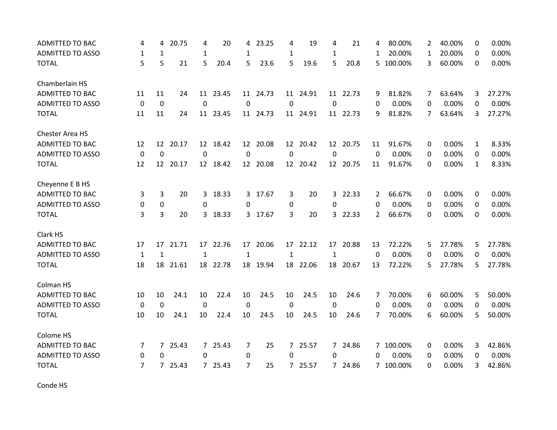| <b>ADMITTED TO BAC</b>  | 4            | 4              | 20.75    | 4            | 20       | 4            | 23.25    | 4            | 19       | 4            | 21       | 4              | 80.00%    | 2        | 40.00% | 0            | 0.00%  |
|-------------------------|--------------|----------------|----------|--------------|----------|--------------|----------|--------------|----------|--------------|----------|----------------|-----------|----------|--------|--------------|--------|
| <b>ADMITTED TO ASSO</b> | $\mathbf{1}$ | $\mathbf{1}$   |          | $\mathbf{1}$ |          | 1            |          | $\mathbf{1}$ |          | 1            |          | $\mathbf{1}$   | 20.00%    | 1        | 20.00% | $\Omega$     | 0.00%  |
| <b>TOTAL</b>            | 5            | 5              | 21       | 5            | 20.4     | 5            | 23.6     | 5            | 19.6     | 5            | 20.8     |                | 5 100.00% | 3        | 60.00% | 0            | 0.00%  |
| Chamberlain HS          |              |                |          |              |          |              |          |              |          |              |          |                |           |          |        |              |        |
| <b>ADMITTED TO BAC</b>  | 11           | 11             | 24       |              | 11 23.45 |              | 11 24.73 |              | 11 24.91 |              | 11 22.73 | 9              | 81.82%    | 7        | 63.64% | 3            | 27.27% |
| ADMITTED TO ASSO        | 0            | $\mathbf 0$    |          | $\mathbf 0$  |          | 0            |          | $\mathbf 0$  |          | $\Omega$     |          | 0              | 0.00%     | 0        | 0.00%  | 0            | 0.00%  |
| <b>TOTAL</b>            | 11           | 11             | 24       | 11           | 23.45    |              | 11 24.73 |              | 11 24.91 |              | 11 22.73 | 9              | 81.82%    | 7        | 63.64% | 3            | 27.27% |
| Chester Area HS         |              |                |          |              |          |              |          |              |          |              |          |                |           |          |        |              |        |
| <b>ADMITTED TO BAC</b>  | 12           |                | 12 20.17 |              | 12 18.42 |              | 12 20.08 |              | 12 20.42 |              | 12 20.75 | 11             | 91.67%    | 0        | 0.00%  | $\mathbf{1}$ | 8.33%  |
| <b>ADMITTED TO ASSO</b> | $\mathbf 0$  | $\mathbf 0$    |          | $\mathbf 0$  |          | $\mathbf 0$  |          | $\mathbf 0$  |          | $\mathbf 0$  |          | $\Omega$       | 0.00%     | 0        | 0.00%  | $\Omega$     | 0.00%  |
| <b>TOTAL</b>            | 12           | 12             | 20.17    |              | 12 18.42 |              | 12 20.08 |              | 12 20.42 |              | 12 20.75 | 11             | 91.67%    | $\Omega$ | 0.00%  | $\mathbf{1}$ | 8.33%  |
| Cheyenne E B HS         |              |                |          |              |          |              |          |              |          |              |          |                |           |          |        |              |        |
| <b>ADMITTED TO BAC</b>  | 3            | 3              | 20       | 3            | 18.33    | 3            | 17.67    | 3            | 20       | $\mathbf{3}$ | 22.33    | $\overline{2}$ | 66.67%    | 0        | 0.00%  | 0            | 0.00%  |
| <b>ADMITTED TO ASSO</b> | 0            | $\pmb{0}$      |          | 0            |          | 0            |          | 0            |          | $\Omega$     |          | 0              | 0.00%     | 0        | 0.00%  | 0            | 0.00%  |
| <b>TOTAL</b>            | 3            | 3              | 20       |              | 3 18.33  |              | 3 17.67  | 3            | 20       |              | 3 22.33  | $\overline{2}$ | 66.67%    | $\Omega$ | 0.00%  | 0            | 0.00%  |
| Clark HS                |              |                |          |              |          |              |          |              |          |              |          |                |           |          |        |              |        |
| <b>ADMITTED TO BAC</b>  | 17           | 17             | 21.71    |              | 17 22.76 | 17           | 20.06    | 17           | 22.12    | 17           | 20.88    | 13             | 72.22%    | 5        | 27.78% | 5            | 27.78% |
| <b>ADMITTED TO ASSO</b> | 1            | $\mathbf{1}$   |          | $\mathbf{1}$ |          | $\mathbf{1}$ |          | $\mathbf{1}$ |          | $\mathbf{1}$ |          | $\Omega$       | 0.00%     | 0        | 0.00%  | $\Omega$     | 0.00%  |
| <b>TOTAL</b>            | 18           | 18             | 21.61    |              | 18 22.78 |              | 18 19.94 |              | 18 22.06 | 18           | 20.67    | 13             | 72.22%    | 5        | 27.78% | 5            | 27.78% |
| Colman HS               |              |                |          |              |          |              |          |              |          |              |          |                |           |          |        |              |        |
| ADMITTED TO BAC         | 10           | 10             | 24.1     | 10           | 22.4     | 10           | 24.5     | 10           | 24.5     | 10           | 24.6     | 7              | 70.00%    | 6        | 60.00% | 5            | 50.00% |
| <b>ADMITTED TO ASSO</b> | $\mathbf 0$  | 0              |          | 0            |          | 0            |          | 0            |          | 0            |          | 0              | 0.00%     | 0        | 0.00%  | $\Omega$     | 0.00%  |
| <b>TOTAL</b>            | 10           | 10             | 24.1     | 10           | 22.4     | 10           | 24.5     | 10           | 24.5     | 10           | 24.6     | 7              | 70.00%    | 6        | 60.00% | 5            | 50.00% |
| Colome HS               |              |                |          |              |          |              |          |              |          |              |          |                |           |          |        |              |        |
| <b>ADMITTED TO BAC</b>  | 7            | 7 <sup>7</sup> | 25.43    |              | 7 25.43  | 7            | 25       |              | 7 25.57  |              | 7 24.86  |                | 7 100.00% | 0        | 0.00%  | 3            | 42.86% |
| <b>ADMITTED TO ASSO</b> | 0            | 0              |          | 0            |          | 0            |          | 0            |          | $\Omega$     |          | 0              | 0.00%     | 0        | 0.00%  | 0            | 0.00%  |
| <b>TOTAL</b>            | 7            | $7^{\circ}$    | 25.43    |              | 7 25.43  | 7            | 25       |              | 7 25.57  |              | 7 24.86  |                | 7 100.00% | 0        | 0.00%  | 3            | 42.86% |

Conde HS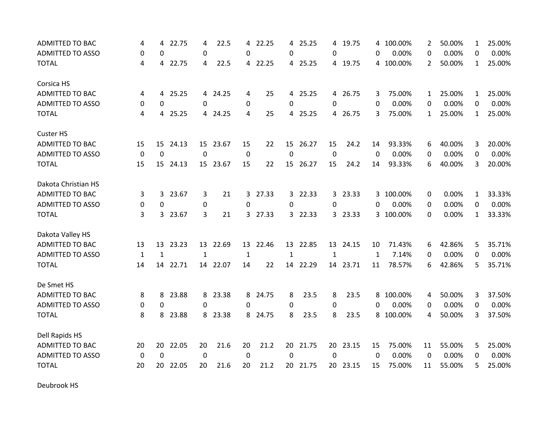| <b>ADMITTED TO BAC</b>  | 4            | 4            | 22.75    | 4            | 22.5     | 4                | 22.25   | 4            | 25.25    | 4        | 19.75    | 4            | 100.00%   | 2                | 50.00% | $\mathbf{1}$ | 25.00% |
|-------------------------|--------------|--------------|----------|--------------|----------|------------------|---------|--------------|----------|----------|----------|--------------|-----------|------------------|--------|--------------|--------|
| <b>ADMITTED TO ASSO</b> | 0            | $\Omega$     |          | 0            |          | $\Omega$         |         | 0            |          | 0        |          | 0            | 0.00%     | 0                | 0.00%  | 0            | 0.00%  |
| <b>TOTAL</b>            | 4            | 4            | 22.75    | 4            | 22.5     |                  | 4 22.25 |              | 4 25.25  |          | 4 19.75  |              | 4 100.00% | $\overline{2}$   | 50.00% | $\mathbf{1}$ | 25.00% |
| Corsica HS              |              |              |          |              |          |                  |         |              |          |          |          |              |           |                  |        |              |        |
| <b>ADMITTED TO BAC</b>  | 4            | 4            | 25.25    |              | 4 24.25  | 4                | 25      |              | 4 25.25  |          | 4 26.75  | 3            | 75.00%    | $\mathbf{1}$     | 25.00% | $\mathbf{1}$ | 25.00% |
| <b>ADMITTED TO ASSO</b> | 0            | $\Omega$     |          | 0            |          | 0                |         | 0            |          | $\Omega$ |          | 0            | 0.00%     | 0                | 0.00%  | 0            | 0.00%  |
| <b>TOTAL</b>            | 4            | 4            | 25.25    |              | 4 24.25  | 4                | 25      |              | 4 25.25  |          | 4 26.75  | 3            | 75.00%    | 1                | 25.00% | 1            | 25.00% |
| <b>Custer HS</b>        |              |              |          |              |          |                  |         |              |          |          |          |              |           |                  |        |              |        |
| <b>ADMITTED TO BAC</b>  | 15           | 15           | 24.13    |              | 15 23.67 | 15               | 22      |              | 15 26.27 | 15       | 24.2     | 14           | 93.33%    | 6                | 40.00% | 3            | 20.00% |
| <b>ADMITTED TO ASSO</b> | $\mathbf 0$  | $\mathbf 0$  |          | $\mathbf 0$  |          | $\boldsymbol{0}$ |         | $\mathbf 0$  |          | 0        |          | 0            | 0.00%     | 0                | 0.00%  | 0            | 0.00%  |
| <b>TOTAL</b>            | 15           | 15           | 24.13    |              | 15 23.67 | 15               | 22      | 15           | 26.27    | 15       | 24.2     | 14           | 93.33%    | 6                | 40.00% | 3            | 20.00% |
| Dakota Christian HS     |              |              |          |              |          |                  |         |              |          |          |          |              |           |                  |        |              |        |
| <b>ADMITTED TO BAC</b>  | 3            | 3            | 23.67    | 3            | 21       | 3                | 27.33   |              | 3 22.33  | 3        | 23.33    | 3            | 100.00%   | 0                | 0.00%  | $\mathbf{1}$ | 33.33% |
| <b>ADMITTED TO ASSO</b> | 0            | 0            |          | 0            |          | 0                |         | 0            |          | 0        |          | 0            | 0.00%     | 0                | 0.00%  | 0            | 0.00%  |
| <b>TOTAL</b>            | 3            |              | 3 23.67  | 3            | 21       |                  | 3 27.33 |              | 3 22.33  |          | 3 23.33  |              | 3 100.00% | 0                | 0.00%  | $\mathbf{1}$ | 33.33% |
| Dakota Valley HS        |              |              |          |              |          |                  |         |              |          |          |          |              |           |                  |        |              |        |
| <b>ADMITTED TO BAC</b>  | 13           | 13           | 23.23    | 13           | 22.69    | 13               | 22.46   | 13           | 22.85    | 13       | 24.15    | 10           | 71.43%    | 6                | 42.86% | 5            | 35.71% |
| ADMITTED TO ASSO        | $\mathbf{1}$ | $\mathbf{1}$ |          | $\mathbf{1}$ |          | $\mathbf{1}$     |         | $\mathbf{1}$ |          | 1        |          | $\mathbf{1}$ | 7.14%     | $\mathbf{0}$     | 0.00%  | 0            | 0.00%  |
| <b>TOTAL</b>            | 14           |              | 14 22.71 |              | 14 22.07 | 14               | 22      |              | 14 22.29 |          | 14 23.71 | 11           | 78.57%    | 6                | 42.86% | 5            | 35.71% |
| De Smet HS              |              |              |          |              |          |                  |         |              |          |          |          |              |           |                  |        |              |        |
| <b>ADMITTED TO BAC</b>  | 8            | 8            | 23.88    | 8            | 23.38    | 8                | 24.75   | 8            | 23.5     | 8        | 23.5     | 8            | 100.00%   | 4                | 50.00% | 3            | 37.50% |
| <b>ADMITTED TO ASSO</b> | 0            | 0            |          | 0            |          | 0                |         | 0            |          | 0        |          | 0            | 0.00%     | 0                | 0.00%  | 0            | 0.00%  |
| <b>TOTAL</b>            | 8            | 8            | 23.88    | 8            | 23.38    | 8                | 24.75   | 8            | 23.5     | 8        | 23.5     | 8            | 100.00%   | 4                | 50.00% | 3            | 37.50% |
| Dell Rapids HS          |              |              |          |              |          |                  |         |              |          |          |          |              |           |                  |        |              |        |
| <b>ADMITTED TO BAC</b>  | 20           | 20           | 22.05    | 20           | 21.6     | 20               | 21.2    |              | 20 21.75 |          | 20 23.15 | 15           | 75.00%    | 11               | 55.00% | 5            | 25.00% |
| <b>ADMITTED TO ASSO</b> | $\mathbf 0$  | $\mathbf 0$  |          | $\mathbf 0$  |          | $\mathbf 0$      |         | 0            |          | 0        |          | 0            | 0.00%     | $\boldsymbol{0}$ | 0.00%  | 0            | 0.00%  |
| <b>TOTAL</b>            | 20           | 20           | 22.05    | 20           | 21.6     | 20               | 21.2    |              | 20 21.75 |          | 20 23.15 | 15           | 75.00%    | 11               | 55.00% | 5            | 25.00% |

Deubrook HS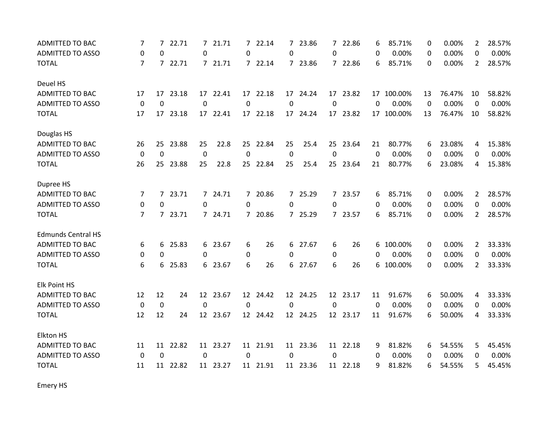| ADMITTED TO BAC           | 7              | 7           | 22.71    |                | 7 21.71  | $\overline{7}$ | 22.14    |             | 7 23.86  | $7^{\circ}$    | 22.86    | 6           | 85.71%     | 0  | 0.00%  | $\overline{2}$ | 28.57% |
|---------------------------|----------------|-------------|----------|----------------|----------|----------------|----------|-------------|----------|----------------|----------|-------------|------------|----|--------|----------------|--------|
| <b>ADMITTED TO ASSO</b>   | 0              | 0           |          | 0              |          | $\Omega$       |          | 0           |          | $\Omega$       |          | 0           | 0.00%      | 0  | 0.00%  | 0              | 0.00%  |
| <b>TOTAL</b>              | $\overline{7}$ |             | 7 22.71  |                | 7 21.71  |                | 7 22.14  |             | 7 23.86  |                | 7 22.86  | 6           | 85.71%     | 0  | 0.00%  | $\mathbf{2}$   | 28.57% |
| Deuel HS                  |                |             |          |                |          |                |          |             |          |                |          |             |            |    |        |                |        |
| ADMITTED TO BAC           | 17             | 17          | 23.18    |                | 17 22.41 |                | 17 22.18 |             | 17 24.24 |                | 17 23.82 |             | 17 100.00% | 13 | 76.47% | 10             | 58.82% |
| <b>ADMITTED TO ASSO</b>   | $\mathbf 0$    | 0           |          | 0              |          | 0              |          | 0           |          | $\mathbf 0$    |          | 0           | 0.00%      | 0  | 0.00%  | 0              | 0.00%  |
| <b>TOTAL</b>              | 17             | 17          | 23.18    |                | 17 22.41 | 17             | 22.18    |             | 17 24.24 | 17             | 23.82    |             | 17 100.00% | 13 | 76.47% | 10             | 58.82% |
| Douglas HS                |                |             |          |                |          |                |          |             |          |                |          |             |            |    |        |                |        |
| <b>ADMITTED TO BAC</b>    | 26             |             | 25 23.88 | 25             | 22.8     |                | 25 22.84 | 25          | 25.4     |                | 25 23.64 | 21          | 80.77%     | 6  | 23.08% | 4              | 15.38% |
| <b>ADMITTED TO ASSO</b>   | $\mathbf 0$    | $\mathbf 0$ |          | $\overline{0}$ |          | $\mathbf 0$    |          | $\mathbf 0$ |          | $\overline{0}$ |          | $\mathbf 0$ | 0.00%      | 0  | 0.00%  | 0              | 0.00%  |
| <b>TOTAL</b>              | 26             | 25          | 23.88    | 25             | 22.8     |                | 25 22.84 | 25          | 25.4     |                | 25 23.64 | 21          | 80.77%     | 6  | 23.08% | 4              | 15.38% |
| Dupree HS                 |                |             |          |                |          |                |          |             |          |                |          |             |            |    |        |                |        |
| <b>ADMITTED TO BAC</b>    | 7              | 7           | 23.71    |                | 7 24.71  | 7              | 20.86    |             | 7 25.29  |                | 7 23.57  | 6           | 85.71%     | 0  | 0.00%  | $\overline{2}$ | 28.57% |
| <b>ADMITTED TO ASSO</b>   | 0              | 0           |          | 0              |          | 0              |          | 0           |          | 0              |          | 0           | 0.00%      | 0  | 0.00%  | 0              | 0.00%  |
| <b>TOTAL</b>              | 7              |             | 7 23.71  |                | 7 24.71  | $7^{\circ}$    | 20.86    |             | 7 25.29  |                | 7 23.57  | 6           | 85.71%     | 0  | 0.00%  | $\overline{2}$ | 28.57% |
| <b>Edmunds Central HS</b> |                |             |          |                |          |                |          |             |          |                |          |             |            |    |        |                |        |
| <b>ADMITTED TO BAC</b>    | 6              | 6           | 25.83    |                | 6 23.67  | 6              | 26       |             | 6 27.67  | 6              | 26       | 6           | 100.00%    | 0  | 0.00%  | $\overline{2}$ | 33.33% |
| <b>ADMITTED TO ASSO</b>   | 0              | 0           |          | 0              |          | 0              |          | 0           |          | 0              |          | 0           | 0.00%      | 0  | 0.00%  | 0              | 0.00%  |
| <b>TOTAL</b>              | 6              | 6           | 25.83    |                | 6 23.67  | 6              | 26       |             | 6 27.67  | 6              | 26       | 6           | 100.00%    | 0  | 0.00%  | $\overline{2}$ | 33.33% |
| Elk Point HS              |                |             |          |                |          |                |          |             |          |                |          |             |            |    |        |                |        |
| <b>ADMITTED TO BAC</b>    | 12             | 12          | 24       |                | 12 23.67 |                | 12 24.42 |             | 12 24.25 |                | 12 23.17 | 11          | 91.67%     | 6  | 50.00% | 4              | 33.33% |
| <b>ADMITTED TO ASSO</b>   | $\mathbf 0$    | 0           |          | $\Omega$       |          | 0              |          | 0           |          | $\Omega$       |          | $\Omega$    | 0.00%      | 0  | 0.00%  | 0              | 0.00%  |
| <b>TOTAL</b>              | 12             | 12          | 24       |                | 12 23.67 |                | 12 24.42 |             | 12 24.25 |                | 12 23.17 | 11          | 91.67%     | 6  | 50.00% | 4              | 33.33% |
| Elkton HS                 |                |             |          |                |          |                |          |             |          |                |          |             |            |    |        |                |        |
| ADMITTED TO BAC           | 11             | 11          | 22.82    |                | 11 23.27 | 11             | 21.91    |             | 11 23.36 |                | 11 22.18 | 9           | 81.82%     | 6  | 54.55% | 5              | 45.45% |
| <b>ADMITTED TO ASSO</b>   | 0              | $\Omega$    |          | 0              |          | $\mathbf{0}$   |          | $\Omega$    |          | $\Omega$       |          | 0           | 0.00%      | 0  | 0.00%  | 0              | 0.00%  |
| <b>TOTAL</b>              | 11             | 11          | 22.82    |                | 11 23.27 |                | 11 21.91 |             | 11 23.36 |                | 11 22.18 | 9           | 81.82%     | 6  | 54.55% | 5              | 45.45% |

Emery HS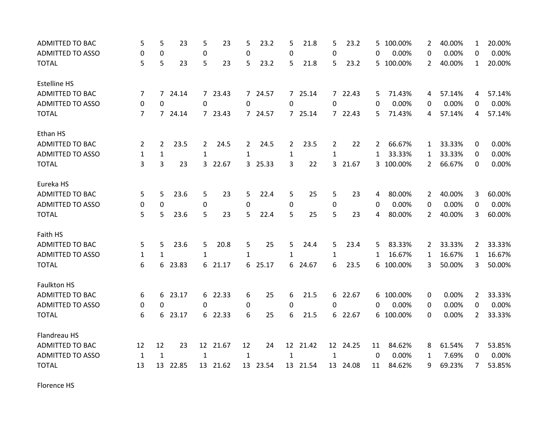| ADMITTED TO BAC         | 5              | 5              | 23      | 5            | 23       | 5                | 23.2     | 5            | 21.8     | 5              | 23.2     |                | 5 100.00% | 2              | 40.00% | $\mathbf{1}$   | 20.00% |
|-------------------------|----------------|----------------|---------|--------------|----------|------------------|----------|--------------|----------|----------------|----------|----------------|-----------|----------------|--------|----------------|--------|
| <b>ADMITTED TO ASSO</b> | 0              | 0              |         | 0            |          | 0                |          | 0            |          | 0              |          | 0              | 0.00%     | 0              | 0.00%  | $\Omega$       | 0.00%  |
| <b>TOTAL</b>            | 5              | 5              | 23      | 5            | 23       | 5                | 23.2     | 5            | 21.8     | 5              | 23.2     |                | 5 100.00% | $\overline{2}$ | 40.00% | $\mathbf{1}$   | 20.00% |
| <b>Estelline HS</b>     |                |                |         |              |          |                  |          |              |          |                |          |                |           |                |        |                |        |
| <b>ADMITTED TO BAC</b>  | 7              |                | 7 24.14 |              | 7 23.43  |                  | 7 24.57  |              | 7 25.14  |                | 7 22.43  | 5              | 71.43%    | 4              | 57.14% | 4              | 57.14% |
| <b>ADMITTED TO ASSO</b> | 0              | 0              |         | 0            |          | 0                |          | 0            |          | 0              |          | 0              | 0.00%     | 0              | 0.00%  | 0              | 0.00%  |
| <b>TOTAL</b>            | $\overline{7}$ |                | 7 24.14 |              | 7 23.43  | 7                | 24.57    |              | 7 25.14  |                | 7 22.43  | 5              | 71.43%    | 4              | 57.14% | 4              | 57.14% |
| Ethan HS                |                |                |         |              |          |                  |          |              |          |                |          |                |           |                |        |                |        |
| ADMITTED TO BAC         | $\overline{2}$ | $\overline{2}$ | 23.5    | $\mathbf{2}$ | 24.5     | $\mathbf{2}$     | 24.5     | $\mathbf{2}$ | 23.5     | $\overline{2}$ | 22       | $\overline{2}$ | 66.67%    | $\mathbf{1}$   | 33.33% | 0              | 0.00%  |
| <b>ADMITTED TO ASSO</b> | 1              | $\mathbf{1}$   |         | $\mathbf{1}$ |          | 1                |          | $\mathbf{1}$ |          | $\mathbf{1}$   |          | 1              | 33.33%    | 1              | 33.33% | 0              | 0.00%  |
| <b>TOTAL</b>            | 3              | 3              | 23      |              | 3 22.67  |                  | 3 25.33  | 3            | 22       | $\overline{3}$ | 21.67    |                | 3 100.00% | $\overline{2}$ | 66.67% | 0              | 0.00%  |
| Eureka HS               |                |                |         |              |          |                  |          |              |          |                |          |                |           |                |        |                |        |
| <b>ADMITTED TO BAC</b>  | 5              | 5              | 23.6    | 5            | 23       | 5                | 22.4     | 5            | 25       | 5              | 23       | 4              | 80.00%    | $\overline{2}$ | 40.00% | 3              | 60.00% |
| <b>ADMITTED TO ASSO</b> | 0              | $\mathbf 0$    |         | $\pmb{0}$    |          | $\boldsymbol{0}$ |          | 0            |          | 0              |          | 0              | 0.00%     | 0              | 0.00%  | 0              | 0.00%  |
| <b>TOTAL</b>            | 5              | 5              | 23.6    | 5            | 23       | 5                | 22.4     | 5            | 25       | 5              | 23       | 4              | 80.00%    | $\overline{2}$ | 40.00% | 3              | 60.00% |
| Faith HS                |                |                |         |              |          |                  |          |              |          |                |          |                |           |                |        |                |        |
| ADMITTED TO BAC         | 5              | 5              | 23.6    | 5            | 20.8     | 5                | 25       | 5            | 24.4     | 5              | 23.4     | 5              | 83.33%    | 2              | 33.33% | $\overline{2}$ | 33.33% |
| <b>ADMITTED TO ASSO</b> | 1              | $\mathbf{1}$   |         | $\mathbf{1}$ |          | 1                |          | $\mathbf{1}$ |          | $\mathbf{1}$   |          | 1              | 16.67%    | 1              | 16.67% | $\mathbf{1}$   | 16.67% |
| <b>TOTAL</b>            | 6              |                | 6 23.83 |              | 6 21.17  |                  | 6 25.17  |              | 6 24.67  | 6              | 23.5     |                | 6 100.00% | 3              | 50.00% | 3              | 50.00% |
| <b>Faulkton HS</b>      |                |                |         |              |          |                  |          |              |          |                |          |                |           |                |        |                |        |
| <b>ADMITTED TO BAC</b>  | 6              | 6              | 23.17   |              | 6 22.33  | 6                | 25       | 6            | 21.5     |                | 6 22.67  |                | 6 100.00% | 0              | 0.00%  | 2              | 33.33% |
| <b>ADMITTED TO ASSO</b> | 0              | 0              |         | 0            |          | 0                |          | 0            |          | 0              |          | 0              | 0.00%     | 0              | 0.00%  | 0              | 0.00%  |
| <b>TOTAL</b>            | 6              | 6              | 23.17   |              | 6 22.33  | 6                | 25       | 6            | 21.5     |                | 6 22.67  |                | 6 100.00% | 0              | 0.00%  | $\overline{2}$ | 33.33% |
| Flandreau HS            |                |                |         |              |          |                  |          |              |          |                |          |                |           |                |        |                |        |
| <b>ADMITTED TO BAC</b>  | 12             | 12             | 23      |              | 12 21.67 | 12               | 24       |              | 12 21.42 |                | 12 24.25 | 11             | 84.62%    | 8              | 61.54% | 7              | 53.85% |
| <b>ADMITTED TO ASSO</b> | $\mathbf 1$    | $\mathbf{1}$   |         | $\mathbf{1}$ |          | $\mathbf{1}$     |          | $\mathbf{1}$ |          | 1              |          | 0              | 0.00%     | 1              | 7.69%  | 0              | 0.00%  |
| <b>TOTAL</b>            | 13             | 13             | 22.85   |              | 13 21.62 |                  | 13 23.54 |              | 13 21.54 |                | 13 24.08 | 11             | 84.62%    | 9              | 69.23% | 7              | 53.85% |

Florence HS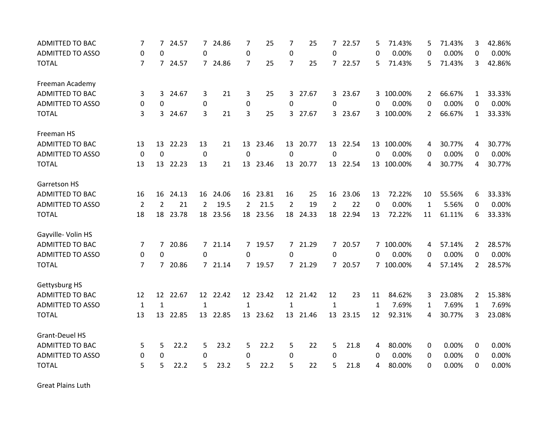| <b>ADMITTED TO BAC</b>  | 7              | 7              | 24.57   |                  | 7 24.86  | 7              | 25       | 7              | 25       | $\overline{7}$ | 22.57    | 5        | 71.43%     | 5              | 71.43% | 3              | 42.86% |
|-------------------------|----------------|----------------|---------|------------------|----------|----------------|----------|----------------|----------|----------------|----------|----------|------------|----------------|--------|----------------|--------|
| <b>ADMITTED TO ASSO</b> | $\pmb{0}$      | 0              |         | $\Omega$         |          | 0              |          | $\mathbf 0$    |          | $\mathbf{0}$   |          | 0        | 0.00%      | 0              | 0.00%  | 0              | 0.00%  |
| <b>TOTAL</b>            | $\overline{7}$ |                | 7 24.57 |                  | 7 24.86  | $\overline{7}$ | 25       | $\overline{7}$ | 25       |                | 7 22.57  | 5        | 71.43%     | 5              | 71.43% | 3              | 42.86% |
| Freeman Academy         |                |                |         |                  |          |                |          |                |          |                |          |          |            |                |        |                |        |
| <b>ADMITTED TO BAC</b>  | 3              | 3              | 24.67   | 3                | 21       | 3              | 25       |                | 3 27.67  |                | 3 23.67  |          | 3 100.00%  | 2              | 66.67% | $\mathbf{1}$   | 33.33% |
| <b>ADMITTED TO ASSO</b> | 0              | 0              |         | $\boldsymbol{0}$ |          | 0              |          | 0              |          | $\Omega$       |          | 0        | 0.00%      | 0              | 0.00%  | 0              | 0.00%  |
| <b>TOTAL</b>            | 3              | 3              | 24.67   | 3                | 21       | 3              | 25       |                | 3 27.67  |                | 3 23.67  |          | 3 100.00%  | $\overline{2}$ | 66.67% | $\mathbf{1}$   | 33.33% |
| Freeman HS              |                |                |         |                  |          |                |          |                |          |                |          |          |            |                |        |                |        |
| <b>ADMITTED TO BAC</b>  | 13             | 13             | 22.23   | 13               | 21       |                | 13 23.46 |                | 13 20.77 |                | 13 22.54 |          | 13 100.00% | 4              | 30.77% | 4              | 30.77% |
| <b>ADMITTED TO ASSO</b> | 0              | $\mathbf 0$    |         | $\mathbf 0$      |          | $\mathbf 0$    |          | $\mathbf 0$    |          | $\mathbf 0$    |          | $\Omega$ | 0.00%      | 0              | 0.00%  | 0              | 0.00%  |
| <b>TOTAL</b>            | 13             | 13             | 22.23   | 13               | 21       | 13             | 23.46    |                | 13 20.77 |                | 13 22.54 |          | 13 100.00% | 4              | 30.77% | 4              | 30.77% |
| Garretson HS            |                |                |         |                  |          |                |          |                |          |                |          |          |            |                |        |                |        |
| <b>ADMITTED TO BAC</b>  | 16             | 16             | 24.13   | 16               | 24.06    | 16             | 23.81    | 16             | 25       | 16             | 23.06    | 13       | 72.22%     | 10             | 55.56% | 6              | 33.33% |
| <b>ADMITTED TO ASSO</b> | $\overline{2}$ | $\overline{2}$ | 21      | $\overline{2}$   | 19.5     | $\overline{2}$ | 21.5     | $\overline{2}$ | 19       | $\overline{2}$ | 22       | 0        | 0.00%      | 1              | 5.56%  | 0              | 0.00%  |
| <b>TOTAL</b>            | 18             | 18             | 23.78   |                  | 18 23.56 |                | 18 23.56 |                | 18 24.33 |                | 18 22.94 | 13       | 72.22%     | 11             | 61.11% | 6              | 33.33% |
| Gayville- Volin HS      |                |                |         |                  |          |                |          |                |          |                |          |          |            |                |        |                |        |
| <b>ADMITTED TO BAC</b>  | 7              | 7              | 20.86   |                  | 7 21.14  | $\overline{7}$ | 19.57    |                | 7 21.29  |                | 7 20.57  |          | 7 100.00%  | 4              | 57.14% | $\overline{2}$ | 28.57% |
| ADMITTED TO ASSO        | 0              | 0              |         | 0                |          | 0              |          | 0              |          | 0              |          | 0        | 0.00%      | 0              | 0.00%  | 0              | 0.00%  |
| <b>TOTAL</b>            | $\overline{7}$ |                | 7 20.86 |                  | 7 21.14  |                | 7 19.57  |                | 7 21.29  |                | 7 20.57  |          | 7 100.00%  | 4              | 57.14% | $\overline{2}$ | 28.57% |
| Gettysburg HS           |                |                |         |                  |          |                |          |                |          |                |          |          |            |                |        |                |        |
| ADMITTED TO BAC         | 12             | 12             | 22.67   |                  | 12 22.42 | 12             | 23.42    |                | 12 21.42 | 12             | 23       | 11       | 84.62%     | 3              | 23.08% | 2              | 15.38% |
| <b>ADMITTED TO ASSO</b> | 1              | $\mathbf{1}$   |         | $\mathbf{1}$     |          | $\mathbf{1}$   |          | $\mathbf{1}$   |          | $\mathbf{1}$   |          | 1        | 7.69%      | 1              | 7.69%  | 1              | 7.69%  |
| <b>TOTAL</b>            | 13             | 13             | 22.85   | 13               | 22.85    | 13             | 23.62    |                | 13 21.46 | 13             | 23.15    | 12       | 92.31%     | 4              | 30.77% | 3              | 23.08% |
| Grant-Deuel HS          |                |                |         |                  |          |                |          |                |          |                |          |          |            |                |        |                |        |
| <b>ADMITTED TO BAC</b>  | 5              | 5              | 22.2    | 5                | 23.2     | 5              | 22.2     | 5              | 22       | 5              | 21.8     | 4        | 80.00%     | 0              | 0.00%  | 0              | 0.00%  |
| <b>ADMITTED TO ASSO</b> | $\pmb{0}$      | 0              |         | 0                |          | 0              |          | 0              |          | $\Omega$       |          | 0        | 0.00%      | 0              | 0.00%  | 0              | 0.00%  |
| <b>TOTAL</b>            | 5              | 5              | 22.2    | 5                | 23.2     | 5              | 22.2     | 5              | 22       | 5              | 21.8     | 4        | 80.00%     | 0              | 0.00%  | 0              | 0.00%  |

Great Plains Luth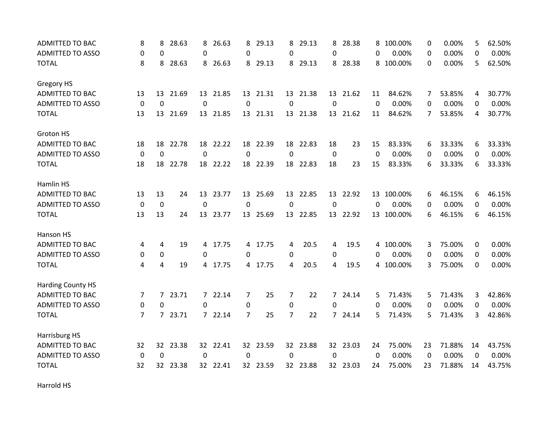| <b>ADMITTED TO BAC</b>   | 8                | 8               | 28.63   | 8              | 26.63    | 8              | 29.13    | 8              | 29.13    | 8        | 28.38    | 8           | 100.00%    | 0  | 0.00%  | 5        | 62.50% |
|--------------------------|------------------|-----------------|---------|----------------|----------|----------------|----------|----------------|----------|----------|----------|-------------|------------|----|--------|----------|--------|
| <b>ADMITTED TO ASSO</b>  | 0                | 0               |         | 0              |          | 0              |          | 0              |          | 0        |          | 0           | 0.00%      | 0  | 0.00%  | 0        | 0.00%  |
| <b>TOTAL</b>             | 8                | 8               | 28.63   |                | 8 26.63  | 8              | 29.13    | 8              | 29.13    |          | 8 28.38  | 8           | 100.00%    | 0  | 0.00%  | 5        | 62.50% |
| Gregory HS               |                  |                 |         |                |          |                |          |                |          |          |          |             |            |    |        |          |        |
| ADMITTED TO BAC          | 13               | 13              | 21.69   |                | 13 21.85 |                | 13 21.31 |                | 13 21.38 |          | 13 21.62 | 11          | 84.62%     | 7  | 53.85% | 4        | 30.77% |
| <b>ADMITTED TO ASSO</b>  | 0                | $\mathbf 0$     |         | 0              |          | 0              |          | 0              |          | $\Omega$ |          | 0           | 0.00%      | 0  | 0.00%  | 0        | 0.00%  |
| <b>TOTAL</b>             | 13               | 13              | 21.69   |                | 13 21.85 |                | 13 21.31 |                | 13 21.38 |          | 13 21.62 | 11          | 84.62%     | 7  | 53.85% | 4        | 30.77% |
| Groton HS                |                  |                 |         |                |          |                |          |                |          |          |          |             |            |    |        |          |        |
| <b>ADMITTED TO BAC</b>   | 18               | 18              | 22.78   |                | 18 22.22 |                | 18 22.39 |                | 18 22.83 | 18       | 23       | 15          | 83.33%     | 6  | 33.33% | 6        | 33.33% |
| <b>ADMITTED TO ASSO</b>  | $\boldsymbol{0}$ | $\mathbf 0$     |         | $\mathbf 0$    |          | $\mathbf 0$    |          | $\mathbf 0$    |          | 0        |          | $\mathbf 0$ | 0.00%      | 0  | 0.00%  | 0        | 0.00%  |
| <b>TOTAL</b>             | 18               | 18              | 22.78   | 18             | 22.22    | 18             | 22.39    | 18             | 22.83    | 18       | 23       | 15          | 83.33%     | 6  | 33.33% | 6        | 33.33% |
| Hamlin HS                |                  |                 |         |                |          |                |          |                |          |          |          |             |            |    |        |          |        |
| <b>ADMITTED TO BAC</b>   | 13               | 13              | 24      | 13             | 23.77    | 13             | 25.69    | 13             | 22.85    | 13       | 22.92    | 13          | 100.00%    | 6  | 46.15% | 6        | 46.15% |
| <b>ADMITTED TO ASSO</b>  | $\mathbf 0$      | $\mathbf 0$     |         | $\mathbf 0$    |          | $\mathbf{0}$   |          | 0              |          | $\Omega$ |          | $\Omega$    | 0.00%      | 0  | 0.00%  | $\Omega$ | 0.00%  |
| <b>TOTAL</b>             | 13               | 13              | 24      |                | 13 23.77 |                | 13 25.69 |                | 13 22.85 |          | 13 22.92 |             | 13 100.00% | 6  | 46.15% | 6        | 46.15% |
| Hanson HS                |                  |                 |         |                |          |                |          |                |          |          |          |             |            |    |        |          |        |
| <b>ADMITTED TO BAC</b>   | 4                | 4               | 19      | $\overline{4}$ | 17.75    | 4              | 17.75    | 4              | 20.5     | 4        | 19.5     | 4           | 100.00%    | 3  | 75.00% | 0        | 0.00%  |
| <b>ADMITTED TO ASSO</b>  | 0                | 0               |         | 0              |          | 0              |          | 0              |          | 0        |          | 0           | 0.00%      | 0  | 0.00%  | 0        | 0.00%  |
| <b>TOTAL</b>             | 4                | 4               | 19      |                | 4 17.75  | 4              | 17.75    | 4              | 20.5     | 4        | 19.5     |             | 4 100.00%  | 3  | 75.00% | 0        | 0.00%  |
| <b>Harding County HS</b> |                  |                 |         |                |          |                |          |                |          |          |          |             |            |    |        |          |        |
| ADMITTED TO BAC          | 7                |                 | 7 23.71 |                | 7 22.14  | 7              | 25       | 7              | 22       |          | 7 24.14  | 5           | 71.43%     | 5  | 71.43% | 3        | 42.86% |
| ADMITTED TO ASSO         | 0                | 0               |         | $\mathbf{0}$   |          | 0              |          | 0              |          | 0        |          | 0           | 0.00%      | 0  | 0.00%  | 0        | 0.00%  |
| <b>TOTAL</b>             | 7                | $\overline{7}$  | 23.71   |                | 7 22.14  | $\overline{7}$ | 25       | $\overline{7}$ | 22       |          | 7 24.14  | 5           | 71.43%     | 5  | 71.43% | 3        | 42.86% |
| Harrisburg HS            |                  |                 |         |                |          |                |          |                |          |          |          |             |            |    |        |          |        |
| ADMITTED TO BAC          | 32               | 32 <sub>2</sub> | 23.38   |                | 32 22.41 |                | 32 23.59 |                | 32 23.88 |          | 32 23.03 | 24          | 75.00%     | 23 | 71.88% | 14       | 43.75% |
| <b>ADMITTED TO ASSO</b>  | 0                | $\Omega$        |         | 0              |          | 0              |          | 0              |          | 0        |          | 0           | 0.00%      | 0  | 0.00%  | 0        | 0.00%  |
| <b>TOTAL</b>             | 32               | 32              | 23.38   |                | 32 22.41 |                | 32 23.59 |                | 32 23.88 |          | 32 23.03 | 24          | 75.00%     | 23 | 71.88% | 14       | 43.75% |

Harrold HS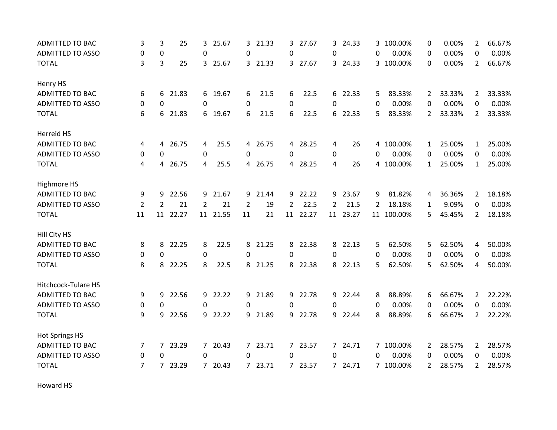| <b>ADMITTED TO BAC</b>  | 3              | 3              | 25       | 3              | 25.67    | 3              | 21.33   | 3.       | 27.67    | 3              | 24.33    |   | 3 100.00%  | 0              | 0.00%  | $\overline{2}$ | 66.67% |
|-------------------------|----------------|----------------|----------|----------------|----------|----------------|---------|----------|----------|----------------|----------|---|------------|----------------|--------|----------------|--------|
| <b>ADMITTED TO ASSO</b> | 0              | 0              |          | 0              |          | 0              |         | 0        |          | 0              |          | 0 | 0.00%      | 0              | 0.00%  | 0              | 0.00%  |
| <b>TOTAL</b>            | 3              | 3              | 25       |                | 3 25.67  |                | 3 21.33 |          | 3 27.67  |                | 3 24.33  |   | 3 100.00%  | 0              | 0.00%  | $\overline{2}$ | 66.67% |
| Henry HS                |                |                |          |                |          |                |         |          |          |                |          |   |            |                |        |                |        |
| <b>ADMITTED TO BAC</b>  | 6              | 6              | 21.83    |                | 6 19.67  | 6              | 21.5    | 6        | 22.5     |                | 6 22.33  | 5 | 83.33%     | $\overline{2}$ | 33.33% | $\overline{2}$ | 33.33% |
| <b>ADMITTED TO ASSO</b> | 0              | 0              |          | $\mathbf{0}$   |          | 0              |         | $\Omega$ |          | $\Omega$       |          | 0 | 0.00%      | 0              | 0.00%  | 0              | 0.00%  |
| <b>TOTAL</b>            | 6              | 6              | 21.83    | 6              | 19.67    | 6              | 21.5    | 6        | 22.5     |                | 6 22.33  | 5 | 83.33%     | $\overline{2}$ | 33.33% | $\overline{2}$ | 33.33% |
| Herreid HS              |                |                |          |                |          |                |         |          |          |                |          |   |            |                |        |                |        |
| ADMITTED TO BAC         | 4              | 4              | 26.75    | 4              | 25.5     |                | 4 26.75 |          | 4 28.25  | 4              | 26       |   | 4 100.00%  | $\mathbf{1}$   | 25.00% | 1              | 25.00% |
| <b>ADMITTED TO ASSO</b> | 0              | 0              |          | $\mathbf 0$    |          | $\Omega$       |         | 0        |          | 0              |          | 0 | 0.00%      | 0              | 0.00%  | 0              | 0.00%  |
| <b>TOTAL</b>            | 4              | 4              | 26.75    | 4              | 25.5     | $\overline{4}$ | 26.75   |          | 4 28.25  | 4              | 26       |   | 4 100.00%  | $\mathbf{1}$   | 25.00% | $\mathbf{1}$   | 25.00% |
| Highmore HS             |                |                |          |                |          |                |         |          |          |                |          |   |            |                |        |                |        |
| ADMITTED TO BAC         | 9              | 9              | 22.56    | 9              | 21.67    | 9              | 21.44   | 9        | 22.22    | 9              | 23.67    | 9 | 81.82%     | 4              | 36.36% | $\overline{2}$ | 18.18% |
| <b>ADMITTED TO ASSO</b> | $\overline{2}$ | $\overline{2}$ | 21       | $\overline{2}$ | 21       | $\overline{2}$ | 19      | 2        | 22.5     | $\overline{2}$ | 21.5     | 2 | 18.18%     | 1              | 9.09%  | 0              | 0.00%  |
| <b>TOTAL</b>            | 11             |                | 11 22.27 |                | 11 21.55 | 11             | 21      |          | 11 22.27 |                | 11 23.27 |   | 11 100.00% | 5              | 45.45% | $\overline{2}$ | 18.18% |
| Hill City HS            |                |                |          |                |          |                |         |          |          |                |          |   |            |                |        |                |        |
| <b>ADMITTED TO BAC</b>  | 8              | 8              | 22.25    | 8              | 22.5     | 8              | 21.25   |          | 8 22.38  | 8              | 22.13    | 5 | 62.50%     | 5              | 62.50% | 4              | 50.00% |
| <b>ADMITTED TO ASSO</b> | 0              | $\Omega$       |          | $\mathbf 0$    |          | $\Omega$       |         | $\Omega$ |          | 0              |          | 0 | 0.00%      | 0              | 0.00%  | $\Omega$       | 0.00%  |
| <b>TOTAL</b>            | 8              | 8              | 22.25    | 8              | 22.5     | 8              | 21.25   |          | 8 22.38  |                | 8 22.13  | 5 | 62.50%     | 5              | 62.50% | 4              | 50.00% |
| Hitchcock-Tulare HS     |                |                |          |                |          |                |         |          |          |                |          |   |            |                |        |                |        |
| ADMITTED TO BAC         | 9              | 9              | 22.56    |                | 9 22.22  | 9              | 21.89   | 9        | 22.78    |                | 9 22.44  | 8 | 88.89%     | 6              | 66.67% | 2              | 22.22% |
| <b>ADMITTED TO ASSO</b> | 0              | 0              |          | 0              |          | 0              |         | 0        |          | 0              |          | 0 | 0.00%      | 0              | 0.00%  | 0              | 0.00%  |
| <b>TOTAL</b>            | 9              | 9              | 22.56    |                | 9 22.22  | 9              | 21.89   | 9        | 22.78    | 9              | 22.44    | 8 | 88.89%     | 6              | 66.67% | $\overline{2}$ | 22.22% |
| <b>Hot Springs HS</b>   |                |                |          |                |          |                |         |          |          |                |          |   |            |                |        |                |        |
| <b>ADMITTED TO BAC</b>  | 7              | 7 <sup>7</sup> | 23.29    |                | 7 20.43  |                | 7 23.71 |          | 7 23.57  |                | 7 24.71  |   | 7 100.00%  | $\mathbf{2}$   | 28.57% | $\overline{2}$ | 28.57% |
| <b>ADMITTED TO ASSO</b> | 0              | 0              |          | 0              |          | 0              |         | 0        |          | 0              |          | 0 | 0.00%      | 0              | 0.00%  | 0              | 0.00%  |
| <b>TOTAL</b>            | $\overline{7}$ | 7              | 23.29    |                | 7 20.43  | $7^{\circ}$    | 23.71   |          | 7 23.57  |                | 7 24.71  |   | 7 100.00%  | $\overline{2}$ | 28.57% | $\overline{2}$ | 28.57% |

Howard HS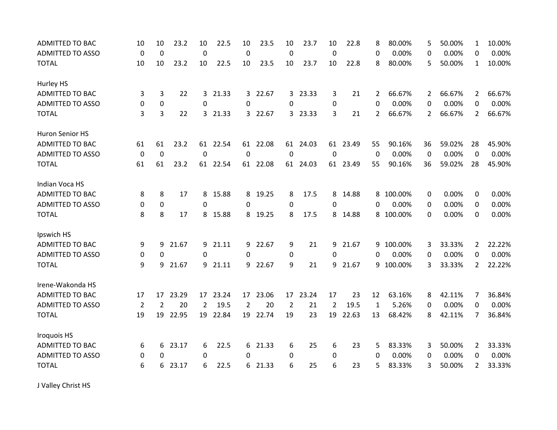| <b>ADMITTED TO BAC</b>  | 10             | 10             | 23.2  | 10          | 22.5     | 10       | 23.5     | 10          | 23.7     | 10          | 22.8     | 8           | 80.00%    | 5              | 50.00% | $\mathbf{1}$   | 10.00% |
|-------------------------|----------------|----------------|-------|-------------|----------|----------|----------|-------------|----------|-------------|----------|-------------|-----------|----------------|--------|----------------|--------|
| <b>ADMITTED TO ASSO</b> | $\mathbf 0$    | $\mathbf 0$    |       | $\mathbf 0$ |          | 0        |          | $\mathbf 0$ |          | $\mathbf 0$ |          | 0           | 0.00%     | 0              | 0.00%  | 0              | 0.00%  |
| <b>TOTAL</b>            | 10             | 10             | 23.2  | 10          | 22.5     | 10       | 23.5     | 10          | 23.7     | 10          | 22.8     | 8           | 80.00%    | 5              | 50.00% | $\mathbf{1}$   | 10.00% |
| Hurley HS               |                |                |       |             |          |          |          |             |          |             |          |             |           |                |        |                |        |
| <b>ADMITTED TO BAC</b>  | 3              | 3              | 22    |             | 3 21.33  | 3        | 22.67    |             | 3 23.33  | 3           | 21       | 2           | 66.67%    | $\overline{2}$ | 66.67% | $\overline{2}$ | 66.67% |
| <b>ADMITTED TO ASSO</b> | 0              | 0              |       | $\Omega$    |          | $\Omega$ |          | 0           |          | 0           |          | $\Omega$    | 0.00%     | 0              | 0.00%  | 0              | 0.00%  |
| <b>TOTAL</b>            | 3              | 3              | 22    | 3           | 21.33    | 3        | 22.67    |             | 3 23.33  | 3           | 21       | 2           | 66.67%    | $\overline{2}$ | 66.67% | $\overline{2}$ | 66.67% |
| Huron Senior HS         |                |                |       |             |          |          |          |             |          |             |          |             |           |                |        |                |        |
| <b>ADMITTED TO BAC</b>  | 61             | 61             | 23.2  |             | 61 22.54 |          | 61 22.08 |             | 61 24.03 |             | 61 23.49 | 55          | 90.16%    | 36             | 59.02% | 28             | 45.90% |
| <b>ADMITTED TO ASSO</b> | $\mathbf 0$    | $\overline{0}$ |       | $\mathbf 0$ |          | $\Omega$ |          | $\mathbf 0$ |          | $\mathbf 0$ |          | $\mathbf 0$ | 0.00%     | $\mathbf 0$    | 0.00%  | $\mathbf 0$    | 0.00%  |
| <b>TOTAL</b>            | 61             | 61             | 23.2  | 61          | 22.54    |          | 61 22.08 |             | 61 24.03 |             | 61 23.49 | 55          | 90.16%    | 36             | 59.02% | 28             | 45.90% |
| Indian Voca HS          |                |                |       |             |          |          |          |             |          |             |          |             |           |                |        |                |        |
| <b>ADMITTED TO BAC</b>  | 8              | 8              | 17    | 8           | 15.88    | 8        | 19.25    | 8           | 17.5     | 8           | 14.88    | 8           | 100.00%   | 0              | 0.00%  | 0              | 0.00%  |
| <b>ADMITTED TO ASSO</b> | 0              | $\mathbf 0$    |       | 0           |          | $\Omega$ |          | 0           |          | 0           |          | 0           | 0.00%     | 0              | 0.00%  | 0              | 0.00%  |
| <b>TOTAL</b>            | 8              | 8              | 17    |             | 8 15.88  | 8        | 19.25    | 8           | 17.5     |             | 8 14.88  | 8           | 100.00%   | $\Omega$       | 0.00%  | 0              | 0.00%  |
| Ipswich HS              |                |                |       |             |          |          |          |             |          |             |          |             |           |                |        |                |        |
| <b>ADMITTED TO BAC</b>  | 9              | 9              | 21.67 | 9           | 21.11    | 9        | 22.67    | 9           | 21       | 9           | 21.67    | 9           | 100.00%   | 3              | 33.33% | $\overline{2}$ | 22.22% |
| <b>ADMITTED TO ASSO</b> | 0              | 0              |       | 0           |          | 0        |          | 0           |          | 0           |          | 0           | 0.00%     | 0              | 0.00%  | 0              | 0.00%  |
| <b>TOTAL</b>            | 9              | 9              | 21.67 |             | 9 21.11  | 9        | 22.67    | 9           | 21       | 9           | 21.67    |             | 9 100.00% | 3              | 33.33% | $\overline{2}$ | 22.22% |
| Irene-Wakonda HS        |                |                |       |             |          |          |          |             |          |             |          |             |           |                |        |                |        |
| <b>ADMITTED TO BAC</b>  | 17             | 17             | 23.29 | 17          | 23.24    | 17       | 23.06    | 17          | 23.24    | 17          | 23       | 12          | 63.16%    | 8              | 42.11% | 7              | 36.84% |
| <b>ADMITTED TO ASSO</b> | $\overline{2}$ | $\overline{2}$ | 20    | 2           | 19.5     | 2        | 20       | 2           | 21       | 2           | 19.5     | 1           | 5.26%     | 0              | 0.00%  | 0              | 0.00%  |
| <b>TOTAL</b>            | 19             | 19             | 22.95 | 19          | 22.84    | 19       | 22.74    | 19          | 23       | 19          | 22.63    | 13          | 68.42%    | 8              | 42.11% | 7              | 36.84% |
| <b>Iroquois HS</b>      |                |                |       |             |          |          |          |             |          |             |          |             |           |                |        |                |        |
| <b>ADMITTED TO BAC</b>  | 6              | 6              | 23.17 | 6           | 22.5     | 6        | 21.33    | 6           | 25       | 6           | 23       | 5           | 83.33%    | 3              | 50.00% | $\overline{2}$ | 33.33% |
| <b>ADMITTED TO ASSO</b> | 0              | 0              |       | 0           |          | $\Omega$ |          | 0           |          | 0           |          | 0           | 0.00%     | 0              | 0.00%  | 0              | 0.00%  |
| <b>TOTAL</b>            | 6              | 6              | 23.17 | 6           | 22.5     | 6        | 21.33    | 6           | 25       | 6           | 23       | 5           | 83.33%    | 3              | 50.00% | $\overline{2}$ | 33.33% |

J Valley Christ HS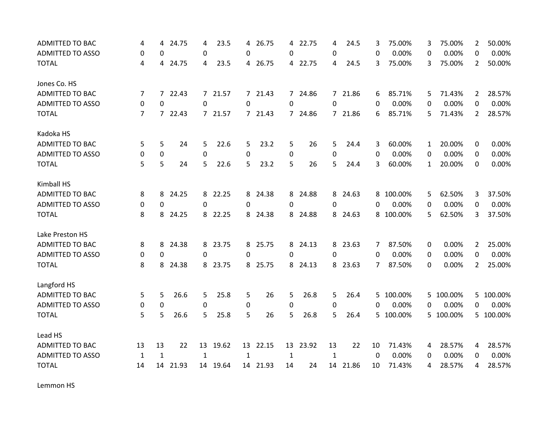| ADMITTED TO BAC         | 4            | 4            | 24.75    | 4            | 23.5     | 4            | 26.75    | 4            | 22.75    | 4            | 24.5     | 3             | 75.00%    | 3            | 75.00%    | 2              | 50.00%    |
|-------------------------|--------------|--------------|----------|--------------|----------|--------------|----------|--------------|----------|--------------|----------|---------------|-----------|--------------|-----------|----------------|-----------|
| <b>ADMITTED TO ASSO</b> | 0            | 0            |          | $\mathbf 0$  |          | 0            |          | 0            |          | 0            |          | 0             | 0.00%     | 0            | 0.00%     | 0              | 0.00%     |
| <b>TOTAL</b>            | 4            | 4            | 24.75    | 4            | 23.5     |              | 4 26.75  |              | 4 22.75  | 4            | 24.5     | 3             | 75.00%    | 3.           | 75.00%    | 2              | 50.00%    |
| Jones Co. HS            |              |              |          |              |          |              |          |              |          |              |          |               |           |              |           |                |           |
| <b>ADMITTED TO BAC</b>  | 7            |              | 7 22.43  |              | 7 21.57  |              | 7 21.43  |              | 7 24.86  |              | 7 21.86  | 6             | 85.71%    | 5.           | 71.43%    | $\overline{2}$ | 28.57%    |
| <b>ADMITTED TO ASSO</b> | 0            | 0            |          | 0            |          | 0            |          | 0            |          | 0            |          | 0             | 0.00%     | 0            | 0.00%     | 0              | 0.00%     |
| <b>TOTAL</b>            | 7            | $7^{\circ}$  | 22.43    |              | 7 21.57  | $7^{\circ}$  | 21.43    |              | 7 24.86  |              | 7 21.86  | 6             | 85.71%    | 5.           | 71.43%    | $\overline{2}$ | 28.57%    |
| Kadoka HS               |              |              |          |              |          |              |          |              |          |              |          |               |           |              |           |                |           |
| <b>ADMITTED TO BAC</b>  | 5            | 5            | 24       | 5            | 22.6     | 5.           | 23.2     | 5            | 26       | 5            | 24.4     | 3             | 60.00%    | $\mathbf{1}$ | 20.00%    | 0              | 0.00%     |
| <b>ADMITTED TO ASSO</b> | 0            | 0            |          | $\pmb{0}$    |          | 0            |          | 0            |          | 0            |          | 0             | 0.00%     | $\mathbf{0}$ | 0.00%     | $\Omega$       | 0.00%     |
| <b>TOTAL</b>            | 5            | 5            | 24       | 5            | 22.6     | 5            | 23.2     | 5            | 26       | 5            | 24.4     | 3             | 60.00%    | 1            | 20.00%    | 0              | 0.00%     |
| Kimball HS              |              |              |          |              |          |              |          |              |          |              |          |               |           |              |           |                |           |
| <b>ADMITTED TO BAC</b>  | 8            | 8            | 24.25    | 8            | 22.25    | 8            | 24.38    | 8            | 24.88    | 8            | 24.63    | 8             | 100.00%   | 5.           | 62.50%    | 3              | 37.50%    |
| <b>ADMITTED TO ASSO</b> | 0            | 0            |          | 0            |          | 0            |          | 0            |          | 0            |          | 0             | 0.00%     | 0            | 0.00%     | $\Omega$       | 0.00%     |
| <b>TOTAL</b>            | 8            | 8            | 24.25    |              | 8 22.25  | 8            | 24.38    |              | 8 24.88  |              | 8 24.63  |               | 8 100.00% | 5            | 62.50%    | 3              | 37.50%    |
| Lake Preston HS         |              |              |          |              |          |              |          |              |          |              |          |               |           |              |           |                |           |
| <b>ADMITTED TO BAC</b>  | 8            | 8            | 24.38    | 8            | 23.75    | 8            | 25.75    |              | 8 24.13  |              | 8 23.63  | 7             | 87.50%    | 0            | 0.00%     | $\overline{2}$ | 25.00%    |
| <b>ADMITTED TO ASSO</b> | 0            | 0            |          | 0            |          | 0            |          | 0            |          | 0            |          | 0             | 0.00%     | 0            | 0.00%     | 0              | 0.00%     |
| <b>TOTAL</b>            | 8            | 8            | 24.38    |              | 8 23.75  | 8            | 25.75    |              | 8 24.13  |              | 8 23.63  | $\mathcal{I}$ | 87.50%    | 0            | 0.00%     | $\overline{2}$ | 25.00%    |
| Langford HS             |              |              |          |              |          |              |          |              |          |              |          |               |           |              |           |                |           |
| ADMITTED TO BAC         | 5            | 5            | 26.6     | 5            | 25.8     | 5            | 26       | 5            | 26.8     | 5            | 26.4     |               | 5 100.00% |              | 5 100.00% |                | 5 100.00% |
| <b>ADMITTED TO ASSO</b> | 0            | 0            |          | 0            |          | 0            |          | 0            |          | 0            |          | 0             | 0.00%     | 0            | 0.00%     | 0              | 0.00%     |
| <b>TOTAL</b>            | 5            | 5            | 26.6     | 5            | 25.8     | 5            | 26       | 5            | 26.8     | 5            | 26.4     |               | 5 100.00% |              | 5 100.00% |                | 5 100.00% |
| Lead HS                 |              |              |          |              |          |              |          |              |          |              |          |               |           |              |           |                |           |
| <b>ADMITTED TO BAC</b>  | 13           | 13           | 22       |              | 13 19.62 |              | 13 22.15 |              | 13 23.92 | 13           | 22       | 10            | 71.43%    | 4            | 28.57%    | 4              | 28.57%    |
| <b>ADMITTED TO ASSO</b> | $\mathbf{1}$ | $\mathbf{1}$ |          | $\mathbf{1}$ |          | $\mathbf{1}$ |          | $\mathbf{1}$ |          | $\mathbf{1}$ |          | 0             | 0.00%     | 0            | 0.00%     | 0              | 0.00%     |
| <b>TOTAL</b>            | 14           |              | 14 21.93 |              | 14 19.64 |              | 14 21.93 | 14           | 24       |              | 14 21.86 | 10            | 71.43%    | 4            | 28.57%    | 4              | 28.57%    |

Lemmon HS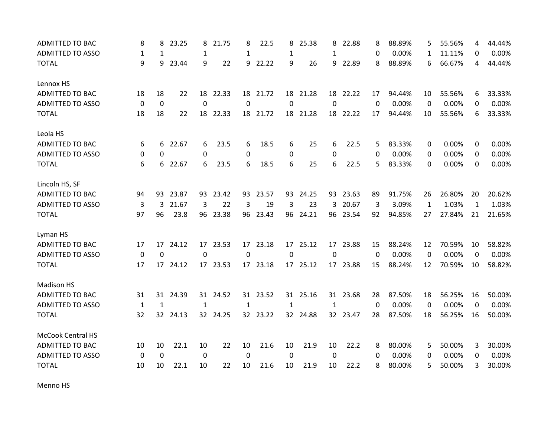| <b>ADMITTED TO BAC</b>   | 8           | 8            | 23.25    | 8            | 21.75    | 8            | 22.5     | 8           | 25.38    | 8            | 22.88    | 8        | 88.89% | 5            | 55.56% | 4            | 44.44% |
|--------------------------|-------------|--------------|----------|--------------|----------|--------------|----------|-------------|----------|--------------|----------|----------|--------|--------------|--------|--------------|--------|
| <b>ADMITTED TO ASSO</b>  | 1           | 1            |          | 1            |          | 1            |          | 1           |          | 1            |          | 0        | 0.00%  | 1            | 11.11% | 0            | 0.00%  |
| <b>TOTAL</b>             | 9           | 9            | 23.44    | 9            | 22       | 9            | 22.22    | 9           | 26       | 9            | 22.89    | 8        | 88.89% | 6            | 66.67% | 4            | 44.44% |
| Lennox HS                |             |              |          |              |          |              |          |             |          |              |          |          |        |              |        |              |        |
| <b>ADMITTED TO BAC</b>   | 18          | 18           | 22       |              | 18 22.33 |              | 18 21.72 |             | 18 21.28 |              | 18 22.22 | 17       | 94.44% | 10           | 55.56% | 6            | 33.33% |
| <b>ADMITTED TO ASSO</b>  | 0           | 0            |          | $\mathbf 0$  |          | $\Omega$     |          | $\mathbf 0$ |          | $\Omega$     |          | $\Omega$ | 0.00%  | 0            | 0.00%  | $\Omega$     | 0.00%  |
| <b>TOTAL</b>             | 18          | 18           | 22       | 18           | 22.33    | 18           | 21.72    | 18          | 21.28    | 18           | 22.22    | 17       | 94.44% | 10           | 55.56% | 6            | 33.33% |
| Leola HS                 |             |              |          |              |          |              |          |             |          |              |          |          |        |              |        |              |        |
| <b>ADMITTED TO BAC</b>   | 6           |              | 6 22.67  | 6            | 23.5     | 6            | 18.5     | 6           | 25       | 6            | 22.5     | 5        | 83.33% | 0            | 0.00%  | 0            | 0.00%  |
| <b>ADMITTED TO ASSO</b>  | 0           | $\Omega$     |          | 0            |          | 0            |          | 0           |          | 0            |          | 0        | 0.00%  | 0            | 0.00%  | $\Omega$     | 0.00%  |
| <b>TOTAL</b>             | 6           | 6            | 22.67    | 6            | 23.5     | 6            | 18.5     | 6           | 25       | 6            | 22.5     | 5        | 83.33% | $\Omega$     | 0.00%  | 0            | 0.00%  |
| Lincoln HS, SF           |             |              |          |              |          |              |          |             |          |              |          |          |        |              |        |              |        |
| <b>ADMITTED TO BAC</b>   | 94          | 93           | 23.87    | 93           | 23.42    | 93           | 23.57    | 93          | 24.25    | 93           | 23.63    | 89       | 91.75% | 26           | 26.80% | 20           | 20.62% |
| <b>ADMITTED TO ASSO</b>  | 3           | 3            | 21.67    | 3            | 22       | 3            | 19       | 3           | 23       | 3            | 20.67    | 3        | 3.09%  | $\mathbf{1}$ | 1.03%  | $\mathbf{1}$ | 1.03%  |
| <b>TOTAL</b>             | 97          | 96           | 23.8     |              | 96 23.38 |              | 96 23.43 |             | 96 24.21 |              | 96 23.54 | 92       | 94.85% | 27           | 27.84% | 21           | 21.65% |
| Lyman HS                 |             |              |          |              |          |              |          |             |          |              |          |          |        |              |        |              |        |
| ADMITTED TO BAC          | 17          | 17           | 24.12    | 17           | 23.53    | 17           | 23.18    | 17          | 25.12    | 17           | 23.88    | 15       | 88.24% | 12           | 70.59% | 10           | 58.82% |
| <b>ADMITTED TO ASSO</b>  | 0           | 0            |          | 0            |          | 0            |          | 0           |          | 0            |          | $\Omega$ | 0.00%  | $\Omega$     | 0.00%  | $\Omega$     | 0.00%  |
| <b>TOTAL</b>             | 17          |              | 17 24.12 |              | 17 23.53 |              | 17 23.18 |             | 17 25.12 |              | 17 23.88 | 15       | 88.24% | 12           | 70.59% | 10           | 58.82% |
| <b>Madison HS</b>        |             |              |          |              |          |              |          |             |          |              |          |          |        |              |        |              |        |
| ADMITTED TO BAC          | 31          | 31           | 24.39    |              | 31 24.52 |              | 31 23.52 |             | 31 25.16 |              | 31 23.68 | 28       | 87.50% | 18           | 56.25% | 16           | 50.00% |
| <b>ADMITTED TO ASSO</b>  | 1           | $\mathbf{1}$ |          | $\mathbf{1}$ |          | $\mathbf{1}$ |          | 1           |          | $\mathbf{1}$ |          | $\Omega$ | 0.00%  | 0            | 0.00%  | 0            | 0.00%  |
| <b>TOTAL</b>             | 32          | 32           | 24.13    |              | 32 24.25 |              | 32 23.22 |             | 32 24.88 |              | 32 23.47 | 28       | 87.50% | 18           | 56.25% | 16           | 50.00% |
| <b>McCook Central HS</b> |             |              |          |              |          |              |          |             |          |              |          |          |        |              |        |              |        |
| <b>ADMITTED TO BAC</b>   | 10          | 10           | 22.1     | 10           | 22       | 10           | 21.6     | 10          | 21.9     | 10           | 22.2     | 8        | 80.00% | 5            | 50.00% | 3            | 30.00% |
| <b>ADMITTED TO ASSO</b>  | $\mathbf 0$ | 0            |          | $\mathbf 0$  |          | $\mathbf 0$  |          | 0           |          | 0            |          | 0        | 0.00%  | 0            | 0.00%  | 0            | 0.00%  |
| <b>TOTAL</b>             | 10          | 10           | 22.1     | 10           | 22       | 10           | 21.6     | 10          | 21.9     | 10           | 22.2     | 8        | 80.00% | 5            | 50.00% | 3            | 30.00% |

Menno HS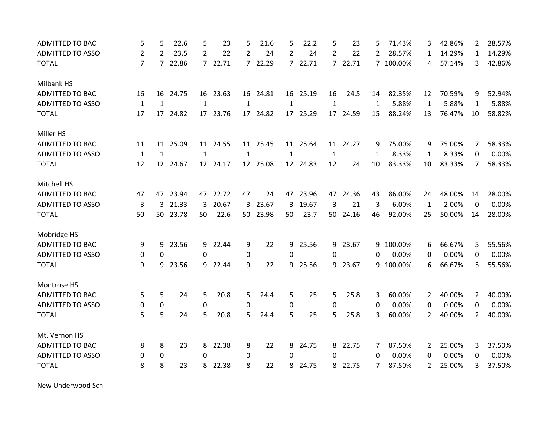| ADMITTED TO BAC         | 5              | 5              | 22.6     | 5                | 23       | 5              | 21.6     | 5              | 22.2     | 5              | 23       | 5  | 71.43%    | 3            | 42.86% | $\overline{2}$ | 28.57% |
|-------------------------|----------------|----------------|----------|------------------|----------|----------------|----------|----------------|----------|----------------|----------|----|-----------|--------------|--------|----------------|--------|
| <b>ADMITTED TO ASSO</b> | 2              | 2              | 23.5     | 2                | 22       | 2              | 24       | $\overline{2}$ | 24       | $\overline{2}$ | 22       | 2  | 28.57%    | 1            | 14.29% | $\mathbf{1}$   | 14.29% |
| <b>TOTAL</b>            | $\overline{7}$ | $\overline{7}$ | 22.86    |                  | 7 22.71  | $\overline{7}$ | 22.29    |                | 7 22.71  |                | 7 22.71  |    | 7 100.00% | 4            | 57.14% | 3              | 42.86% |
| Milbank HS              |                |                |          |                  |          |                |          |                |          |                |          |    |           |              |        |                |        |
| <b>ADMITTED TO BAC</b>  | 16             | 16             | 24.75    |                  | 16 23.63 |                | 16 24.81 |                | 16 25.19 | 16             | 24.5     | 14 | 82.35%    | 12           | 70.59% | 9              | 52.94% |
| <b>ADMITTED TO ASSO</b> | $\mathbf{1}$   | $\mathbf{1}$   |          | $\mathbf{1}$     |          | $\mathbf{1}$   |          | $\mathbf{1}$   |          | $\mathbf{1}$   |          | 1  | 5.88%     | $\mathbf{1}$ | 5.88%  | 1              | 5.88%  |
| <b>TOTAL</b>            | 17             | 17             | 24.82    |                  | 17 23.76 |                | 17 24.82 |                | 17 25.29 |                | 17 24.59 | 15 | 88.24%    | 13           | 76.47% | 10             | 58.82% |
| Miller HS               |                |                |          |                  |          |                |          |                |          |                |          |    |           |              |        |                |        |
| <b>ADMITTED TO BAC</b>  | 11             | 11             | 25.09    |                  | 11 24.55 |                | 11 25.45 |                | 11 25.64 |                | 11 24.27 | 9  | 75.00%    | 9            | 75.00% | 7              | 58.33% |
| <b>ADMITTED TO ASSO</b> | $\mathbf{1}$   | $\mathbf{1}$   |          | $\mathbf{1}$     |          | $\mathbf{1}$   |          | $\mathbf 1$    |          | $\mathbf{1}$   |          | 1  | 8.33%     | $\mathbf{1}$ | 8.33%  | 0              | 0.00%  |
| <b>TOTAL</b>            | 12             |                | 12 24.67 |                  | 12 24.17 |                | 12 25.08 |                | 12 24.83 | 12             | 24       | 10 | 83.33%    | 10           | 83.33% | 7              | 58.33% |
| Mitchell HS             |                |                |          |                  |          |                |          |                |          |                |          |    |           |              |        |                |        |
| <b>ADMITTED TO BAC</b>  | 47             | 47             | 23.94    |                  | 47 22.72 | 47             | 24       | 47             | 23.96    | 47             | 24.36    | 43 | 86.00%    | 24           | 48.00% | 14             | 28.00% |
| <b>ADMITTED TO ASSO</b> | 3              | 3              | 21.33    | 3                | 20.67    | 3              | 23.67    | 3              | 19.67    | 3              | 21       | 3  | 6.00%     | 1            | 2.00%  | 0              | 0.00%  |
| <b>TOTAL</b>            | 50             |                | 50 23.78 | 50               | 22.6     |                | 50 23.98 | 50             | 23.7     |                | 50 24.16 | 46 | 92.00%    | 25           | 50.00% | 14             | 28.00% |
| Mobridge HS             |                |                |          |                  |          |                |          |                |          |                |          |    |           |              |        |                |        |
| <b>ADMITTED TO BAC</b>  | 9              | 9              | 23.56    |                  | 9 22.44  | 9              | 22       | 9              | 25.56    | 9              | 23.67    |    | 9 100.00% | 6            | 66.67% | 5              | 55.56% |
| <b>ADMITTED TO ASSO</b> | 0              | 0              |          | 0                |          | 0              |          | $\Omega$       |          | 0              |          | 0  | 0.00%     | 0            | 0.00%  | 0              | 0.00%  |
| <b>TOTAL</b>            | 9              | 9              | 23.56    |                  | 9 22.44  | 9              | 22       | 9              | 25.56    | 9              | 23.67    | 9  | 100.00%   | 6            | 66.67% | 5              | 55.56% |
| Montrose HS             |                |                |          |                  |          |                |          |                |          |                |          |    |           |              |        |                |        |
| <b>ADMITTED TO BAC</b>  | 5              | 5              | 24       | 5                | 20.8     | 5              | 24.4     | 5              | 25       | 5              | 25.8     | 3  | 60.00%    | 2            | 40.00% | $\overline{2}$ | 40.00% |
| <b>ADMITTED TO ASSO</b> | 0              | 0              |          | $\boldsymbol{0}$ |          | 0              |          | 0              |          | 0              |          | 0  | 0.00%     | 0            | 0.00%  | 0              | 0.00%  |
| <b>TOTAL</b>            | 5              | 5              | 24       | 5                | 20.8     | 5              | 24.4     | 5              | 25       | 5              | 25.8     | 3  | 60.00%    | 2            | 40.00% | $\overline{2}$ | 40.00% |
| Mt. Vernon HS           |                |                |          |                  |          |                |          |                |          |                |          |    |           |              |        |                |        |
| ADMITTED TO BAC         | 8              | 8              | 23       | 8                | 22.38    | 8              | 22       | 8              | 24.75    | 8              | 22.75    | 7  | 87.50%    | 2            | 25.00% | 3              | 37.50% |
| <b>ADMITTED TO ASSO</b> | 0              | 0              |          | 0                |          | 0              |          | $\Omega$       |          | 0              |          | 0  | 0.00%     | 0            | 0.00%  | 0              | 0.00%  |
| <b>TOTAL</b>            | 8              | 8              | 23       | 8                | 22.38    | 8              | 22       | 8              | 24.75    |                | 8 22.75  | 7  | 87.50%    | 2            | 25.00% | 3              | 37.50% |

New Underwood Sch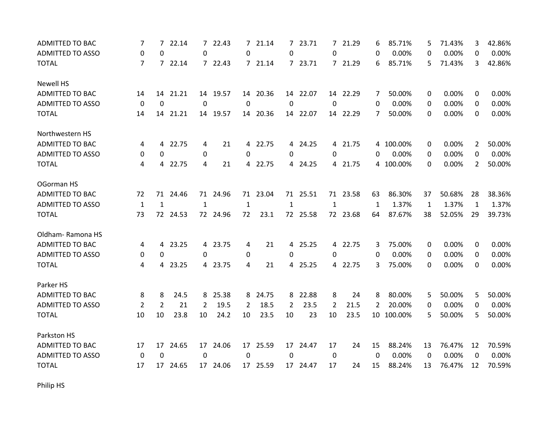| <b>ADMITTED TO BAC</b>  | 7              | $\overline{7}$ | 22.14    |              | 7 22.43  | $\mathcal{I}$ | 21.14    |              | 7 23.71  |                | 7 21.29  | 6  | 85.71%    | 5  | 71.43% | 3        | 42.86% |
|-------------------------|----------------|----------------|----------|--------------|----------|---------------|----------|--------------|----------|----------------|----------|----|-----------|----|--------|----------|--------|
| <b>ADMITTED TO ASSO</b> | 0              | $\Omega$       |          | $\Omega$     |          | $\Omega$      |          | 0            |          | 0              |          | 0  | 0.00%     | 0  | 0.00%  | 0        | 0.00%  |
| <b>TOTAL</b>            | $\overline{7}$ |                | 7 22.14  |              | 7 22.43  |               | 7 21.14  |              | 7 23.71  |                | 7 21.29  | 6  | 85.71%    | 5  | 71.43% | 3        | 42.86% |
| <b>Newell HS</b>        |                |                |          |              |          |               |          |              |          |                |          |    |           |    |        |          |        |
| <b>ADMITTED TO BAC</b>  | 14             | 14             | 21.21    |              | 14 19.57 |               | 14 20.36 |              | 14 22.07 |                | 14 22.29 | 7  | 50.00%    | 0  | 0.00%  | 0        | 0.00%  |
| <b>ADMITTED TO ASSO</b> | 0              | $\mathbf 0$    |          | $\mathbf{0}$ |          | $\Omega$      |          | 0            |          | $\Omega$       |          | 0  | 0.00%     | 0  | 0.00%  | $\Omega$ | 0.00%  |
| <b>TOTAL</b>            | 14             | 14             | 21.21    |              | 14 19.57 |               | 14 20.36 |              | 14 22.07 |                | 14 22.29 | 7  | 50.00%    | 0  | 0.00%  | 0        | 0.00%  |
| Northwestern HS         |                |                |          |              |          |               |          |              |          |                |          |    |           |    |        |          |        |
| ADMITTED TO BAC         | 4              |                | 4 22.75  | 4            | 21       |               | 4 22.75  |              | 4 24.25  |                | 4 21.75  |    | 4 100.00% | 0  | 0.00%  | 2        | 50.00% |
| <b>ADMITTED TO ASSO</b> | 0              | 0              |          | $\mathbf 0$  |          | $\Omega$      |          | 0            |          | 0              |          | 0  | 0.00%     | 0  | 0.00%  | 0        | 0.00%  |
| <b>TOTAL</b>            | 4              | 4              | 22.75    | 4            | 21       |               | 4 22.75  |              | 4 24.25  |                | 4 21.75  |    | 4 100.00% | 0  | 0.00%  | 2        | 50.00% |
| OGorman HS              |                |                |          |              |          |               |          |              |          |                |          |    |           |    |        |          |        |
| <b>ADMITTED TO BAC</b>  | 72             | 71             | 24.46    |              | 71 24.96 | 71            | 23.04    |              | 71 25.51 |                | 71 23.58 | 63 | 86.30%    | 37 | 50.68% | 28       | 38.36% |
| <b>ADMITTED TO ASSO</b> | $\mathbf{1}$   | $\mathbf{1}$   |          | $\mathbf{1}$ |          | $\mathbf{1}$  |          | $\mathbf{1}$ |          | 1              |          | 1  | 1.37%     | 1  | 1.37%  | 1        | 1.37%  |
| <b>TOTAL</b>            | 73             |                | 72 24.53 |              | 72 24.96 | 72            | 23.1     |              | 72 25.58 |                | 72 23.68 | 64 | 87.67%    | 38 | 52.05% | 29       | 39.73% |
| Oldham-Ramona HS        |                |                |          |              |          |               |          |              |          |                |          |    |           |    |        |          |        |
| <b>ADMITTED TO BAC</b>  | 4              | 4              | 23.25    |              | 4 23.75  | 4             | 21       |              | 4 25.25  |                | 4 22.75  | 3  | 75.00%    | 0  | 0.00%  | 0        | 0.00%  |
| <b>ADMITTED TO ASSO</b> | 0              | $\Omega$       |          | 0            |          | 0             |          | 0            |          | 0              |          | 0  | 0.00%     | 0  | 0.00%  | $\Omega$ | 0.00%  |
| <b>TOTAL</b>            | 4              |                | 4 23.25  |              | 4 23.75  | 4             | 21       |              | 4 25.25  |                | 4 22.75  | 3  | 75.00%    | 0  | 0.00%  | 0        | 0.00%  |
| Parker HS               |                |                |          |              |          |               |          |              |          |                |          |    |           |    |        |          |        |
| <b>ADMITTED TO BAC</b>  | 8              | 8              | 24.5     | 8            | 25.38    | 8             | 24.75    | 8            | 22.88    | 8              | 24       | 8  | 80.00%    | 5  | 50.00% | 5        | 50.00% |
| <b>ADMITTED TO ASSO</b> | 2              | $\overline{2}$ | 21       | 2            | 19.5     | 2             | 18.5     | 2            | 23.5     | $\overline{2}$ | 21.5     | 2  | 20.00%    | 0  | 0.00%  | $\Omega$ | 0.00%  |
| <b>TOTAL</b>            | 10             | 10             | 23.8     | 10           | 24.2     | 10            | 23.5     | 10           | 23       | 10             | 23.5     | 10 | 100.00%   | 5  | 50.00% | 5        | 50.00% |
| Parkston HS             |                |                |          |              |          |               |          |              |          |                |          |    |           |    |        |          |        |
| <b>ADMITTED TO BAC</b>  | 17             | 17             | 24.65    |              | 17 24.06 |               | 17 25.59 |              | 17 24.47 | 17             | 24       | 15 | 88.24%    | 13 | 76.47% | 12       | 70.59% |
| <b>ADMITTED TO ASSO</b> | $\mathbf 0$    | 0              |          | 0            |          | 0             |          | 0            |          | $\mathbf 0$    |          | 0  | 0.00%     | 0  | 0.00%  | 0        | 0.00%  |
| <b>TOTAL</b>            | 17             | 17             | 24.65    |              | 17 24.06 |               | 17 25.59 |              | 17 24.47 | 17             | 24       | 15 | 88.24%    | 13 | 76.47% | 12       | 70.59% |

Philip HS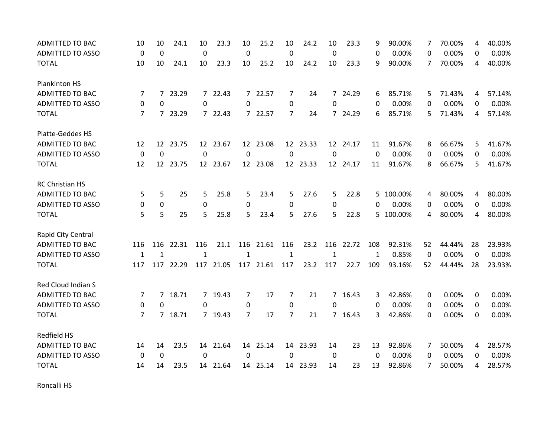| <b>ADMITTED TO BAC</b>  | 10             | 10              | 24.1      | 10           | 23.3      | 10          | 25.2      | 10             | 24.2     | 10           | 23.3     | 9           | 90.00%    | 7        | 70.00% | 4        | 40.00% |
|-------------------------|----------------|-----------------|-----------|--------------|-----------|-------------|-----------|----------------|----------|--------------|----------|-------------|-----------|----------|--------|----------|--------|
| <b>ADMITTED TO ASSO</b> | $\mathbf 0$    | $\mathbf 0$     |           | $\mathbf 0$  |           | 0           |           | $\mathbf 0$    |          | 0            |          | 0           | 0.00%     | 0        | 0.00%  | 0        | 0.00%  |
| <b>TOTAL</b>            | 10             | 10              | 24.1      | 10           | 23.3      | 10          | 25.2      | 10             | 24.2     | 10           | 23.3     | 9           | 90.00%    | 7        | 70.00% | 4        | 40.00% |
| Plankinton HS           |                |                 |           |              |           |             |           |                |          |              |          |             |           |          |        |          |        |
| <b>ADMITTED TO BAC</b>  | 7              |                 | 7 23.29   |              | 7 22.43   |             | 7 22.57   | 7              | 24       |              | 7 24.29  | 6           | 85.71%    | 5        | 71.43% | 4        | 57.14% |
| <b>ADMITTED TO ASSO</b> | $\Omega$       | $\Omega$        |           | $\Omega$     |           | $\Omega$    |           | 0              |          | $\Omega$     |          | 0           | 0.00%     | $\Omega$ | 0.00%  | $\Omega$ | 0.00%  |
| <b>TOTAL</b>            | 7              | $7^{\circ}$     | 23.29     |              | 7 22.43   | 7           | 22.57     | $\overline{7}$ | 24       |              | 7 24.29  | 6           | 85.71%    | 5.       | 71.43% | 4        | 57.14% |
| Platte-Geddes HS        |                |                 |           |              |           |             |           |                |          |              |          |             |           |          |        |          |        |
| <b>ADMITTED TO BAC</b>  | 12             |                 | 12 23.75  |              | 12 23.67  |             | 12 23.08  |                | 12 23.33 |              | 12 24.17 | 11          | 91.67%    | 8        | 66.67% | 5        | 41.67% |
| <b>ADMITTED TO ASSO</b> | $\mathbf 0$    | $\overline{0}$  |           | $\mathbf 0$  |           | $\mathbf 0$ |           | $\mathbf 0$    |          | $\mathbf 0$  |          | $\mathbf 0$ | 0.00%     | $\Omega$ | 0.00%  | $\Omega$ | 0.00%  |
| <b>TOTAL</b>            | 12             | 12 <sup>7</sup> | 23.75     |              | 12 23.67  |             | 12 23.08  |                | 12 23.33 |              | 12 24.17 | 11          | 91.67%    | 8        | 66.67% | 5        | 41.67% |
| RC Christian HS         |                |                 |           |              |           |             |           |                |          |              |          |             |           |          |        |          |        |
| <b>ADMITTED TO BAC</b>  | 5              | 5               | 25        | 5            | 25.8      | 5           | 23.4      | 5              | 27.6     | 5            | 22.8     | 5.          | 100.00%   | 4        | 80.00% | 4        | 80.00% |
| <b>ADMITTED TO ASSO</b> | 0              | 0               |           | $\pmb{0}$    |           | 0           |           | 0              |          | 0            |          | 0           | 0.00%     | 0        | 0.00%  | 0        | 0.00%  |
| <b>TOTAL</b>            | 5              | 5               | 25        | 5            | 25.8      | 5           | 23.4      | 5              | 27.6     | 5            | 22.8     |             | 5 100.00% | 4        | 80.00% | 4        | 80.00% |
| Rapid City Central      |                |                 |           |              |           |             |           |                |          |              |          |             |           |          |        |          |        |
| <b>ADMITTED TO BAC</b>  | 116            | 116             | 22.31     | 116          | 21.1      | 116         | 21.61     | 116            | 23.2     | 116          | 22.72    | 108         | 92.31%    | 52       | 44.44% | 28       | 23.93% |
| <b>ADMITTED TO ASSO</b> | $\mathbf{1}$   | $\mathbf{1}$    |           | $\mathbf{1}$ |           | $\mathbf 1$ |           | 1              |          | $\mathbf{1}$ |          | 1           | 0.85%     | 0        | 0.00%  | 0        | 0.00%  |
| <b>TOTAL</b>            | 117            |                 | 117 22.29 |              | 117 21.05 |             | 117 21.61 | 117            | 23.2     | 117          | 22.7     | 109         | 93.16%    | 52       | 44.44% | 28       | 23.93% |
| Red Cloud Indian S      |                |                 |           |              |           |             |           |                |          |              |          |             |           |          |        |          |        |
| ADMITTED TO BAC         | 7              | $\overline{7}$  | 18.71     |              | 7 19.43   | 7           | 17        | 7              | 21       |              | 7 16.43  | 3           | 42.86%    | 0        | 0.00%  | $\Omega$ | 0.00%  |
| <b>ADMITTED TO ASSO</b> | 0              | 0               |           | 0            |           | 0           |           | 0              |          | 0            |          | 0           | 0.00%     | 0        | 0.00%  | 0        | 0.00%  |
| <b>TOTAL</b>            | $\overline{7}$ | $7^{\circ}$     | 18.71     |              | 7 19.43   | 7           | 17        | $\overline{7}$ | 21       |              | 7 16.43  | 3           | 42.86%    | $\Omega$ | 0.00%  | $\Omega$ | 0.00%  |
| <b>Redfield HS</b>      |                |                 |           |              |           |             |           |                |          |              |          |             |           |          |        |          |        |
| <b>ADMITTED TO BAC</b>  | 14             | 14              | 23.5      |              | 14 21.64  |             | 14 25.14  |                | 14 23.93 | 14           | 23       | 13          | 92.86%    | 7        | 50.00% | 4        | 28.57% |
| <b>ADMITTED TO ASSO</b> | 0              | 0               |           | 0            |           | 0           |           | $\Omega$       |          | 0            |          | 0           | 0.00%     | 0        | 0.00%  | 0        | 0.00%  |
| <b>TOTAL</b>            | 14             | 14              | 23.5      | 14           | 21.64     |             | 14 25.14  |                | 14 23.93 | 14           | 23       | 13          | 92.86%    | 7        | 50.00% | 4        | 28.57% |

Roncalli HS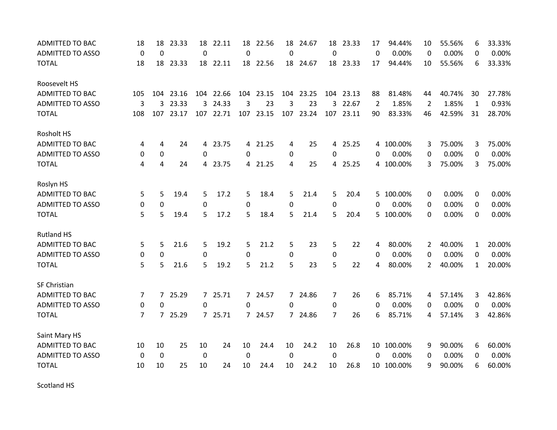| <b>ADMITTED TO BAC</b>  | 18             | 18             | 23.33 | 18          | 22.11     | 18             | 22.56     | 18             | 24.67     | 18             | 23.33     | 17           | 94.44%     | 10             | 55.56% | 6            | 33.33% |
|-------------------------|----------------|----------------|-------|-------------|-----------|----------------|-----------|----------------|-----------|----------------|-----------|--------------|------------|----------------|--------|--------------|--------|
| <b>ADMITTED TO ASSO</b> | $\mathbf 0$    | $\mathbf 0$    |       | $\mathbf 0$ |           | $\overline{0}$ |           | $\overline{0}$ |           | $\Omega$       |           | $\mathbf{0}$ | 0.00%      | $\mathbf{0}$   | 0.00%  | $\Omega$     | 0.00%  |
| <b>TOTAL</b>            | 18             | 18             | 23.33 |             | 18 22.11  |                | 18 22.56  |                | 18 24.67  |                | 18 23.33  | 17           | 94.44%     | 10             | 55.56% | 6            | 33.33% |
| Roosevelt HS            |                |                |       |             |           |                |           |                |           |                |           |              |            |                |        |              |        |
| <b>ADMITTED TO BAC</b>  | 105            | 104            | 23.16 |             | 104 22.66 |                | 104 23.15 |                | 104 23.25 |                | 104 23.13 | 88           | 81.48%     | 44             | 40.74% | 30           | 27.78% |
| <b>ADMITTED TO ASSO</b> | 3              | 3              | 23.33 |             | 3 24.33   | 3              | 23        | 3              | 23        | 3              | 22.67     | 2            | 1.85%      | 2              | 1.85%  | $\mathbf 1$  | 0.93%  |
| <b>TOTAL</b>            | 108            | 107            | 23.17 |             | 107 22.71 | 107            | 23.15     | 107            | 23.24     | 107            | 23.11     | 90           | 83.33%     | 46             | 42.59% | 31           | 28.70% |
| Rosholt HS              |                |                |       |             |           |                |           |                |           |                |           |              |            |                |        |              |        |
| <b>ADMITTED TO BAC</b>  | 4              | 4              | 24    |             | 4 23.75   |                | 4 21.25   | 4              | 25        |                | 4 25.25   |              | 4 100.00%  | 3              | 75.00% | 3            | 75.00% |
| <b>ADMITTED TO ASSO</b> | 0              | $\mathbf 0$    |       | $\Omega$    |           | 0              |           | 0              |           | 0              |           | 0            | 0.00%      | $\Omega$       | 0.00%  | $\Omega$     | 0.00%  |
| <b>TOTAL</b>            | 4              | 4              | 24    | 4           | 23.75     |                | 4 21.25   | 4              | 25        |                | 4 25.25   |              | 4 100.00%  | 3              | 75.00% | 3            | 75.00% |
| Roslyn HS               |                |                |       |             |           |                |           |                |           |                |           |              |            |                |        |              |        |
| <b>ADMITTED TO BAC</b>  | 5              | 5              | 19.4  | 5           | 17.2      | 5              | 18.4      | 5              | 21.4      | 5              | 20.4      | 5.           | 100.00%    | 0              | 0.00%  | 0            | 0.00%  |
| <b>ADMITTED TO ASSO</b> | 0              | 0              |       | 0           |           | 0              |           | 0              |           | 0              |           | 0            | 0.00%      | 0              | 0.00%  | 0            | 0.00%  |
| <b>TOTAL</b>            | 5              | 5              | 19.4  | 5           | 17.2      | 5              | 18.4      | 5              | 21.4      | 5              | 20.4      |              | 5 100.00%  | $\Omega$       | 0.00%  | $\Omega$     | 0.00%  |
| <b>Rutland HS</b>       |                |                |       |             |           |                |           |                |           |                |           |              |            |                |        |              |        |
| <b>ADMITTED TO BAC</b>  | 5              | 5              | 21.6  | 5           | 19.2      | 5              | 21.2      | 5              | 23        | 5              | 22        | 4            | 80.00%     | 2              | 40.00% | $\mathbf 1$  | 20.00% |
| <b>ADMITTED TO ASSO</b> | 0              | 0              |       | $\mathbf 0$ |           | 0              |           | 0              |           | 0              |           | 0            | 0.00%      | 0              | 0.00%  | $\Omega$     | 0.00%  |
| <b>TOTAL</b>            | 5              | 5              | 21.6  | 5           | 19.2      | 5              | 21.2      | 5              | 23        | 5              | 22        | 4            | 80.00%     | $\overline{2}$ | 40.00% | $\mathbf{1}$ | 20.00% |
| <b>SF Christian</b>     |                |                |       |             |           |                |           |                |           |                |           |              |            |                |        |              |        |
| <b>ADMITTED TO BAC</b>  | 7              | $\overline{7}$ | 25.29 |             | 7 25.71   | $7^{\circ}$    | 24.57     |                | 7 24.86   | 7              | 26        | 6            | 85.71%     | 4              | 57.14% | 3            | 42.86% |
| <b>ADMITTED TO ASSO</b> | 0              | 0              |       | 0           |           | 0              |           | 0              |           | 0              |           | 0            | 0.00%      | 0              | 0.00%  | 0            | 0.00%  |
| <b>TOTAL</b>            | $\overline{7}$ | $7^{\circ}$    | 25.29 |             | 7 25.71   | $7^{\circ}$    | 24.57     |                | 7 24.86   | $\overline{7}$ | 26        | 6            | 85.71%     | 4              | 57.14% | 3            | 42.86% |
| Saint Mary HS           |                |                |       |             |           |                |           |                |           |                |           |              |            |                |        |              |        |
| <b>ADMITTED TO BAC</b>  | 10             | 10             | 25    | 10          | 24        | 10             | 24.4      | 10             | 24.2      | 10             | 26.8      |              | 10 100.00% | 9              | 90.00% | 6            | 60.00% |
| <b>ADMITTED TO ASSO</b> | 0              | $\mathbf 0$    |       | $\mathbf 0$ |           | $\mathbf 0$    |           | 0              |           | 0              |           | 0            | 0.00%      | 0              | 0.00%  | 0            | 0.00%  |
| <b>TOTAL</b>            | 10             | 10             | 25    | 10          | 24        | 10             | 24.4      | 10             | 24.2      | 10             | 26.8      |              | 10 100.00% | 9              | 90.00% | 6            | 60.00% |

Scotland HS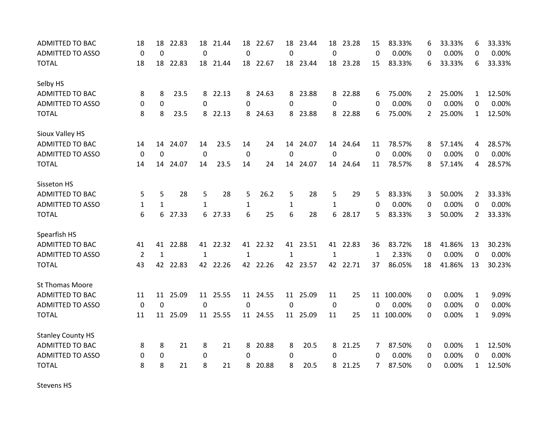| <b>ADMITTED TO BAC</b>   | 18           | 18           | 22.83    | 18           | 21.44    | 18               | 22.67    | 18           | 23.44    | 18          | 23.28    | 15          | 83.33%     | 6              | 33.33% | 6              | 33.33% |
|--------------------------|--------------|--------------|----------|--------------|----------|------------------|----------|--------------|----------|-------------|----------|-------------|------------|----------------|--------|----------------|--------|
| <b>ADMITTED TO ASSO</b>  | $\mathbf 0$  | $\mathbf 0$  |          | $\mathbf 0$  |          | 0                |          | $\mathbf 0$  |          | $\Omega$    |          | $\Omega$    | 0.00%      | 0              | 0.00%  | $\Omega$       | 0.00%  |
| <b>TOTAL</b>             | 18           | 18           | 22.83    |              | 18 21.44 |                  | 18 22.67 |              | 18 23.44 |             | 18 23.28 | 15          | 83.33%     | 6              | 33.33% | 6              | 33.33% |
| Selby HS                 |              |              |          |              |          |                  |          |              |          |             |          |             |            |                |        |                |        |
| <b>ADMITTED TO BAC</b>   | 8            | 8            | 23.5     |              | 8 22.13  | 8                | 24.63    |              | 8 23.88  |             | 8 22.88  | 6           | 75.00%     | $\mathbf{2}$   | 25.00% | 1              | 12.50% |
| <b>ADMITTED TO ASSO</b>  | 0            | 0            |          | $\mathbf{0}$ |          | $\Omega$         |          | 0            |          | 0           |          | 0           | 0.00%      | 0              | 0.00%  | 0              | 0.00%  |
| <b>TOTAL</b>             | 8            | 8            | 23.5     | 8            | 22.13    | 8                | 24.63    | 8            | 23.88    | 8           | 22.88    | 6           | 75.00%     | $\overline{2}$ | 25.00% | $\mathbf{1}$   | 12.50% |
| Sioux Valley HS          |              |              |          |              |          |                  |          |              |          |             |          |             |            |                |        |                |        |
| <b>ADMITTED TO BAC</b>   | 14           | 14           | 24.07    | 14           | 23.5     | 14               | 24       |              | 14 24.07 |             | 14 24.64 | 11          | 78.57%     | 8              | 57.14% | 4              | 28.57% |
| <b>ADMITTED TO ASSO</b>  | $\mathbf 0$  | $\mathbf 0$  |          | $\mathbf 0$  |          | $\boldsymbol{0}$ |          | $\mathbf 0$  |          | $\mathbf 0$ |          | $\mathbf 0$ | 0.00%      | 0              | 0.00%  | 0              | 0.00%  |
| <b>TOTAL</b>             | 14           | 14           | 24.07    | 14           | 23.5     | 14               | 24       |              | 14 24.07 |             | 14 24.64 | 11          | 78.57%     | 8              | 57.14% | 4              | 28.57% |
| Sisseton HS              |              |              |          |              |          |                  |          |              |          |             |          |             |            |                |        |                |        |
| ADMITTED TO BAC          | 5            | 5            | 28       | 5            | 28       | 5                | 26.2     | 5            | 28       | 5           | 29       | 5           | 83.33%     | 3              | 50.00% | $\overline{2}$ | 33.33% |
| <b>ADMITTED TO ASSO</b>  | $\mathbf{1}$ | $\mathbf{1}$ |          | 1            |          | 1                |          | $\mathbf{1}$ |          | 1           |          | 0           | 0.00%      | 0              | 0.00%  | $\Omega$       | 0.00%  |
| <b>TOTAL</b>             | 6            | 6            | 27.33    |              | 6 27.33  | 6                | 25       | 6            | 28       |             | 6 28.17  | 5           | 83.33%     | 3              | 50.00% | $2^{\circ}$    | 33.33% |
| Spearfish HS             |              |              |          |              |          |                  |          |              |          |             |          |             |            |                |        |                |        |
| ADMITTED TO BAC          | 41           | 41           | 22.88    |              | 41 22.32 | 41               | 22.32    | 41           | 23.51    |             | 41 22.83 | 36          | 83.72%     | 18             | 41.86% | 13             | 30.23% |
| <b>ADMITTED TO ASSO</b>  | 2            | 1            |          | 1            |          | 1                |          | 1            |          | 1           |          | 1           | 2.33%      | 0              | 0.00%  | 0              | 0.00%  |
| <b>TOTAL</b>             | 43           | 42           | 22.83    |              | 42 22.26 |                  | 42 22.26 |              | 42 23.57 |             | 42 22.71 | 37          | 86.05%     | 18             | 41.86% | 13             | 30.23% |
| <b>St Thomas Moore</b>   |              |              |          |              |          |                  |          |              |          |             |          |             |            |                |        |                |        |
| <b>ADMITTED TO BAC</b>   | 11           |              | 11 25.09 |              | 11 25.55 |                  | 11 24.55 |              | 11 25.09 | 11          | 25       |             | 11 100.00% | 0              | 0.00%  | $\mathbf{1}$   | 9.09%  |
| <b>ADMITTED TO ASSO</b>  | 0            | $\mathbf 0$  |          | $\Omega$     |          | $\Omega$         |          | $\mathbf{0}$ |          | 0           |          | $\Omega$    | 0.00%      | 0              | 0.00%  | $\Omega$       | 0.00%  |
| <b>TOTAL</b>             | 11           | 11           | 25.09    |              | 11 25.55 |                  | 11 24.55 | 11           | 25.09    | 11          | 25       |             | 11 100.00% | 0              | 0.00%  | $\mathbf 1$    | 9.09%  |
| <b>Stanley County HS</b> |              |              |          |              |          |                  |          |              |          |             |          |             |            |                |        |                |        |
| ADMITTED TO BAC          | 8            | 8            | 21       | 8            | 21       | 8                | 20.88    | 8            | 20.5     |             | 8 21.25  | 7           | 87.50%     | 0              | 0.00%  | $\mathbf{1}$   | 12.50% |
| <b>ADMITTED TO ASSO</b>  | 0            | 0            |          | 0            |          | $\Omega$         |          | 0            |          | 0           |          | 0           | 0.00%      | 0              | 0.00%  | 0              | 0.00%  |
| <b>TOTAL</b>             | 8            | 8            | 21       | 8            | 21       | 8                | 20.88    | 8            | 20.5     | 8           | 21.25    | 7           | 87.50%     | $\Omega$       | 0.00%  | $\mathbf{1}$   | 12.50% |

Stevens HS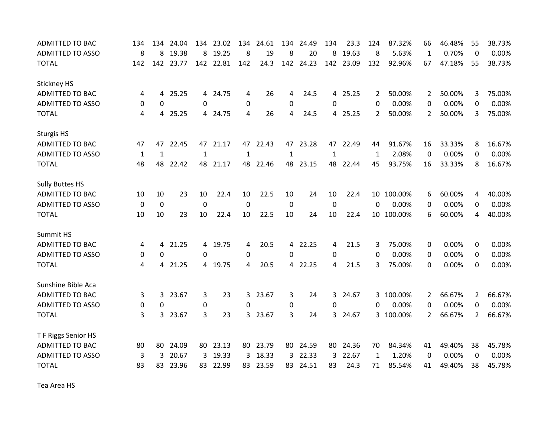| <b>ADMITTED TO BAC</b>  | 134         | 134          | 24.04 | 134          | 23.02     | 134          | 24.61    | 134          | 24.49     | 134          | 23.3     | 124            | 87.32%     | 66             | 46.48% | 55             | 38.73% |
|-------------------------|-------------|--------------|-------|--------------|-----------|--------------|----------|--------------|-----------|--------------|----------|----------------|------------|----------------|--------|----------------|--------|
| <b>ADMITTED TO ASSO</b> | 8           | 8            | 19.38 | 8            | 19.25     | 8            | 19       | 8            | 20        | 8            | 19.63    | 8              | 5.63%      | 1              | 0.70%  | $\mathbf{0}$   | 0.00%  |
| <b>TOTAL</b>            | 142         | 142          | 23.77 |              | 142 22.81 | 142          | 24.3     |              | 142 24.23 | 142          | 23.09    | 132            | 92.96%     | 67             | 47.18% | 55             | 38.73% |
| <b>Stickney HS</b>      |             |              |       |              |           |              |          |              |           |              |          |                |            |                |        |                |        |
| <b>ADMITTED TO BAC</b>  | 4           | 4            | 25.25 |              | 4 24.75   | 4            | 26       | 4            | 24.5      |              | 4 25.25  | 2              | 50.00%     | $\overline{2}$ | 50.00% | 3              | 75.00% |
| ADMITTED TO ASSO        | 0           | $\Omega$     |       | $\Omega$     |           | 0            |          | 0            |           | 0            |          | 0              | 0.00%      | 0              | 0.00%  | 0              | 0.00%  |
| <b>TOTAL</b>            | 4           | 4            | 25.25 |              | 4 24.75   | 4            | 26       | 4            | 24.5      |              | 4 25.25  | $\overline{2}$ | 50.00%     | 2              | 50.00% | 3              | 75.00% |
| <b>Sturgis HS</b>       |             |              |       |              |           |              |          |              |           |              |          |                |            |                |        |                |        |
| <b>ADMITTED TO BAC</b>  | 47          | 47           | 22.45 |              | 47 21.17  |              | 47 22.43 |              | 47 23.28  |              | 47 22.49 | 44             | 91.67%     | 16             | 33.33% | 8              | 16.67% |
| <b>ADMITTED TO ASSO</b> | $\mathbf 1$ | $\mathbf{1}$ |       | $\mathbf{1}$ |           | $\mathbf{1}$ |          | $\mathbf{1}$ |           | $\mathbf{1}$ |          | $\mathbf{1}$   | 2.08%      | 0              | 0.00%  | $\Omega$       | 0.00%  |
| <b>TOTAL</b>            | 48          | 48           | 22.42 | 48           | 21.17     | 48           | 22.46    | 48           | 23.15     | 48           | 22.44    | 45             | 93.75%     | 16             | 33.33% | 8              | 16.67% |
| <b>Sully Buttes HS</b>  |             |              |       |              |           |              |          |              |           |              |          |                |            |                |        |                |        |
| <b>ADMITTED TO BAC</b>  | 10          | 10           | 23    | 10           | 22.4      | 10           | 22.5     | 10           | 24        | 10           | 22.4     | 10             | 100.00%    | 6              | 60.00% | 4              | 40.00% |
| <b>ADMITTED TO ASSO</b> | 0           | $\Omega$     |       | $\mathbf 0$  |           | $\mathbf 0$  |          | 0            |           | 0            |          | $\Omega$       | 0.00%      | 0              | 0.00%  | $\Omega$       | 0.00%  |
| <b>TOTAL</b>            | 10          | 10           | 23    | 10           | 22.4      | 10           | 22.5     | 10           | 24        | 10           | 22.4     |                | 10 100.00% | 6              | 60.00% | 4              | 40.00% |
| Summit HS               |             |              |       |              |           |              |          |              |           |              |          |                |            |                |        |                |        |
| <b>ADMITTED TO BAC</b>  | 4           | 4            | 21.25 |              | 4 19.75   | 4            | 20.5     | 4            | 22.25     | 4            | 21.5     | 3              | 75.00%     | 0              | 0.00%  | 0              | 0.00%  |
| <b>ADMITTED TO ASSO</b> | 0           | 0            |       | 0            |           | 0            |          | 0            |           | 0            |          | 0              | 0.00%      | 0              | 0.00%  | $\Omega$       | 0.00%  |
| <b>TOTAL</b>            | 4           | 4            | 21.25 |              | 4 19.75   | 4            | 20.5     | 4            | 22.25     | 4            | 21.5     | 3              | 75.00%     | 0              | 0.00%  | $\mathbf{0}$   | 0.00%  |
| Sunshine Bible Aca      |             |              |       |              |           |              |          |              |           |              |          |                |            |                |        |                |        |
| <b>ADMITTED TO BAC</b>  | 3           | 3            | 23.67 | 3            | 23        | 3            | 23.67    | 3            | 24        | 3            | 24.67    |                | 3 100.00%  | $\mathbf{2}$   | 66.67% | 2              | 66.67% |
| <b>ADMITTED TO ASSO</b> | 0           | 0            |       | 0            |           | $\Omega$     |          | 0            |           | 0            |          | 0              | 0.00%      | 0              | 0.00%  | $\Omega$       | 0.00%  |
| <b>TOTAL</b>            | 3           | 3            | 23.67 | 3            | 23        | 3            | 23.67    | 3            | 24        | 3            | 24.67    |                | 3 100.00%  | $\overline{2}$ | 66.67% | $\overline{2}$ | 66.67% |
| T F Riggs Senior HS     |             |              |       |              |           |              |          |              |           |              |          |                |            |                |        |                |        |
| <b>ADMITTED TO BAC</b>  | 80          | 80           | 24.09 |              | 80 23.13  | 80           | 23.79    | 80           | 24.59     | 80           | 24.36    | 70             | 84.34%     | 41             | 49.40% | 38             | 45.78% |
| <b>ADMITTED TO ASSO</b> | 3           | 3            | 20.67 | 3            | 19.33     | 3            | 18.33    | 3            | 22.33     | 3            | 22.67    | 1              | 1.20%      | $\mathbf{0}$   | 0.00%  | $\Omega$       | 0.00%  |
| <b>TOTAL</b>            | 83          | 83           | 23.96 |              | 83 22.99  | 83           | 23.59    | 83           | 24.51     | 83           | 24.3     | 71             | 85.54%     | 41             | 49.40% | 38             | 45.78% |

Tea Area HS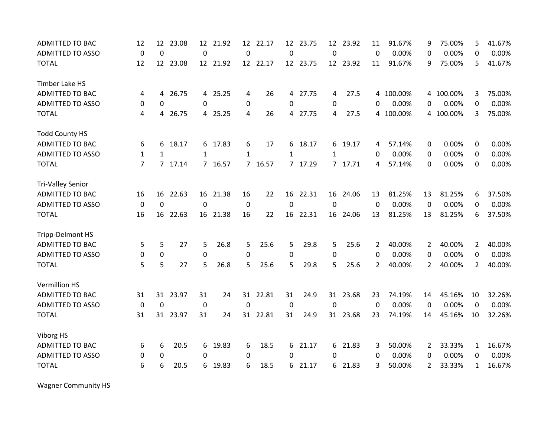| <b>ADMITTED TO BAC</b>   | 12             | 12             | 23.08    | 12          | 21.92    | 12             | 22.17    | 12           | 23.75    | $12 \overline{ }$ | 23.92    | 11           | 91.67%    | 9              | 75.00%    | 5              | 41.67% |
|--------------------------|----------------|----------------|----------|-------------|----------|----------------|----------|--------------|----------|-------------------|----------|--------------|-----------|----------------|-----------|----------------|--------|
| <b>ADMITTED TO ASSO</b>  | $\mathbf 0$    | $\mathbf 0$    |          | $\mathbf 0$ |          | $\Omega$       |          | $\mathbf 0$  |          | $\mathbf 0$       |          | $\mathbf{0}$ | 0.00%     | $\Omega$       | 0.00%     | $\Omega$       | 0.00%  |
| <b>TOTAL</b>             | 12             |                | 12 23.08 |             | 12 21.92 |                | 12 22.17 |              | 12 23.75 |                   | 12 23.92 | 11           | 91.67%    | 9              | 75.00%    | 5              | 41.67% |
| Timber Lake HS           |                |                |          |             |          |                |          |              |          |                   |          |              |           |                |           |                |        |
| <b>ADMITTED TO BAC</b>   | 4              | 4              | 26.75    |             | 4 25.25  | 4              | 26       |              | 4 27.75  | 4                 | 27.5     |              | 4 100.00% |                | 4 100.00% | 3              | 75.00% |
| <b>ADMITTED TO ASSO</b>  | 0              | 0              |          | 0           |          | 0              |          | 0            |          | $\Omega$          |          | 0            | 0.00%     | 0              | 0.00%     | 0              | 0.00%  |
| <b>TOTAL</b>             | 4              | 4              | 26.75    |             | 4 25.25  | 4              | 26       |              | 4 27.75  | 4                 | 27.5     | 4            | 100.00%   |                | 4 100.00% | 3              | 75.00% |
| <b>Todd County HS</b>    |                |                |          |             |          |                |          |              |          |                   |          |              |           |                |           |                |        |
| <b>ADMITTED TO BAC</b>   | 6              | 6              | 18.17    |             | 6 17.83  | 6              | 17       | 6            | 18.17    |                   | 6 19.17  | 4            | 57.14%    | 0              | 0.00%     | 0              | 0.00%  |
| <b>ADMITTED TO ASSO</b>  | $\mathbf{1}$   | $\mathbf{1}$   |          | 1           |          | 1              |          | $\mathbf{1}$ |          | $\mathbf{1}$      |          | 0            | 0.00%     | 0              | 0.00%     | $\Omega$       | 0.00%  |
| <b>TOTAL</b>             | $\overline{7}$ | $\overline{7}$ | 17.14    |             | 7 16.57  | $\overline{7}$ | 16.57    |              | 7 17.29  |                   | 7 17.71  | 4            | 57.14%    | 0              | 0.00%     | $\mathbf{0}$   | 0.00%  |
| <b>Tri-Valley Senior</b> |                |                |          |             |          |                |          |              |          |                   |          |              |           |                |           |                |        |
| <b>ADMITTED TO BAC</b>   | 16             | 16             | 22.63    | 16          | 21.38    | 16             | 22       | 16           | 22.31    | 16                | 24.06    | 13           | 81.25%    | 13             | 81.25%    | 6              | 37.50% |
| <b>ADMITTED TO ASSO</b>  | 0              | $\mathbf 0$    |          | 0           |          | 0              |          | 0            |          | $\Omega$          |          | $\mathbf{0}$ | 0.00%     | $\mathbf{0}$   | 0.00%     | $\Omega$       | 0.00%  |
| <b>TOTAL</b>             | 16             |                | 16 22.63 |             | 16 21.38 | 16             | 22       |              | 16 22.31 |                   | 16 24.06 | 13           | 81.25%    | 13             | 81.25%    | 6              | 37.50% |
| Tripp-Delmont HS         |                |                |          |             |          |                |          |              |          |                   |          |              |           |                |           |                |        |
| <b>ADMITTED TO BAC</b>   | 5              | 5              | 27       | 5           | 26.8     | 5              | 25.6     | 5            | 29.8     | 5                 | 25.6     | 2            | 40.00%    | 2              | 40.00%    | 2              | 40.00% |
| <b>ADMITTED TO ASSO</b>  | 0              | 0              |          | 0           |          | 0              |          | 0            |          | 0                 |          | 0            | 0.00%     | 0              | 0.00%     | 0              | 0.00%  |
| <b>TOTAL</b>             | 5              | 5              | 27       | 5           | 26.8     | 5              | 25.6     | 5            | 29.8     | 5                 | 25.6     | 2            | 40.00%    | $\overline{2}$ | 40.00%    | $\overline{2}$ | 40.00% |
| Vermillion HS            |                |                |          |             |          |                |          |              |          |                   |          |              |           |                |           |                |        |
| <b>ADMITTED TO BAC</b>   | 31             |                | 31 23.97 | 31          | 24       |                | 31 22.81 | 31           | 24.9     |                   | 31 23.68 | 23           | 74.19%    | 14             | 45.16%    | 10             | 32.26% |
| <b>ADMITTED TO ASSO</b>  | $\mathbf 0$    | 0              |          | $\mathbf 0$ |          | $\Omega$       |          | 0            |          | $\Omega$          |          | $\mathbf 0$  | 0.00%     | 0              | 0.00%     | $\Omega$       | 0.00%  |
| <b>TOTAL</b>             | 31             | 31             | 23.97    | 31          | 24       | 31             | 22.81    | 31           | 24.9     |                   | 31 23.68 | 23           | 74.19%    | 14             | 45.16%    | 10             | 32.26% |
| Viborg HS                |                |                |          |             |          |                |          |              |          |                   |          |              |           |                |           |                |        |
| <b>ADMITTED TO BAC</b>   | 6              | 6              | 20.5     | 6           | 19.83    | 6              | 18.5     | 6            | 21.17    |                   | 6 21.83  | 3            | 50.00%    | $\overline{2}$ | 33.33%    | $\mathbf{1}$   | 16.67% |
| <b>ADMITTED TO ASSO</b>  | 0              | 0              |          | 0           |          | 0              |          | 0            |          | 0                 |          | 0            | 0.00%     | 0              | 0.00%     | $\Omega$       | 0.00%  |
| <b>TOTAL</b>             | 6              | 6              | 20.5     | 6           | 19.83    | 6              | 18.5     | 6            | 21.17    |                   | 6 21.83  | 3            | 50.00%    | $\overline{2}$ | 33.33%    | $\mathbf{1}$   | 16.67% |

Wagner Community HS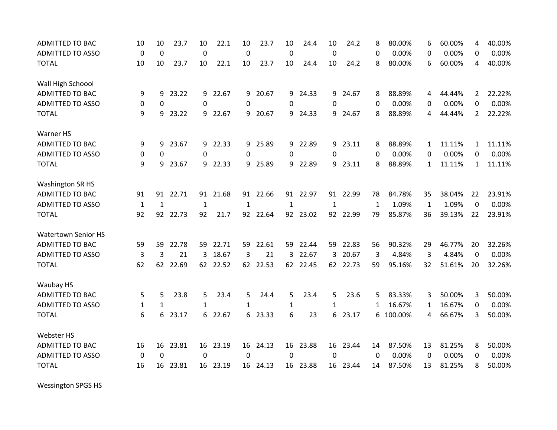| <b>ADMITTED TO BAC</b>     | 10           | 10           | 23.7     | 10           | 22.1     | 10          | 23.7     | 10          | 24.4     | 10       | 24.2     | 8        | 80.00%  | 6            | 60.00% | 4              | 40.00% |
|----------------------------|--------------|--------------|----------|--------------|----------|-------------|----------|-------------|----------|----------|----------|----------|---------|--------------|--------|----------------|--------|
| <b>ADMITTED TO ASSO</b>    | $\mathbf 0$  | $\mathbf 0$  |          | $\mathbf 0$  |          | $\mathbf 0$ |          | $\mathbf 0$ |          | 0        |          | $\Omega$ | 0.00%   | 0            | 0.00%  | 0              | 0.00%  |
| <b>TOTAL</b>               | 10           | 10           | 23.7     | 10           | 22.1     | 10          | 23.7     | 10          | 24.4     | 10       | 24.2     | 8        | 80.00%  | 6            | 60.00% | 4              | 40.00% |
| Wall High Schoool          |              |              |          |              |          |             |          |             |          |          |          |          |         |              |        |                |        |
| <b>ADMITTED TO BAC</b>     | 9            | 9            | 23.22    |              | 9 22.67  | 9           | 20.67    |             | 9 24.33  | 9        | 24.67    | 8        | 88.89%  | 4            | 44.44% | $\overline{2}$ | 22.22% |
| <b>ADMITTED TO ASSO</b>    | 0            | 0            |          | $\Omega$     |          | $\Omega$    |          | 0           |          | $\Omega$ |          | 0        | 0.00%   | 0            | 0.00%  | 0              | 0.00%  |
| <b>TOTAL</b>               | 9            | 9            | 23.22    |              | 9 22.67  | 9           | 20.67    | 9           | 24.33    | 9        | 24.67    | 8        | 88.89%  | 4            | 44.44% | $\overline{2}$ | 22.22% |
| Warner HS                  |              |              |          |              |          |             |          |             |          |          |          |          |         |              |        |                |        |
| <b>ADMITTED TO BAC</b>     | 9            | 9            | 23.67    |              | 9 22.33  |             | 9 25.89  |             | 9 22.89  |          | 9 23.11  | 8        | 88.89%  | $\mathbf{1}$ | 11.11% | $\mathbf{1}$   | 11.11% |
| <b>ADMITTED TO ASSO</b>    | 0            | 0            |          | 0            |          | 0           |          | 0           |          | 0        |          | $\Omega$ | 0.00%   | 0            | 0.00%  | 0              | 0.00%  |
| <b>TOTAL</b>               | 9            | 9            | 23.67    |              | 9 22.33  | 9           | 25.89    | 9           | 22.89    | 9        | 23.11    | 8        | 88.89%  | $\mathbf{1}$ | 11.11% | $\mathbf{1}$   | 11.11% |
| <b>Washington SR HS</b>    |              |              |          |              |          |             |          |             |          |          |          |          |         |              |        |                |        |
| <b>ADMITTED TO BAC</b>     | 91           | 91           | 22.71    |              | 91 21.68 |             | 91 22.66 |             | 91 22.97 |          | 91 22.99 | 78       | 84.78%  | 35           | 38.04% | 22             | 23.91% |
| <b>ADMITTED TO ASSO</b>    | $\mathbf{1}$ | $\mathbf{1}$ |          | $\mathbf{1}$ |          | 1           |          | 1           |          | 1        |          | 1        | 1.09%   | $\mathbf{1}$ | 1.09%  | 0              | 0.00%  |
| <b>TOTAL</b>               | 92           |              | 92 22.73 | 92           | 21.7     |             | 92 22.64 |             | 92 23.02 |          | 92 22.99 | 79       | 85.87%  | 36           | 39.13% | 22             | 23.91% |
| <b>Watertown Senior HS</b> |              |              |          |              |          |             |          |             |          |          |          |          |         |              |        |                |        |
| <b>ADMITTED TO BAC</b>     | 59           | 59           | 22.78    | 59           | 22.71    | 59          | 22.61    | 59          | 22.44    | 59       | 22.83    | 56       | 90.32%  | 29           | 46.77% | 20             | 32.26% |
| <b>ADMITTED TO ASSO</b>    | 3            | 3            | 21       |              | 3 18.67  | 3           | 21       | 3           | 22.67    | 3        | 20.67    | 3        | 4.84%   | 3            | 4.84%  | $\Omega$       | 0.00%  |
| <b>TOTAL</b>               | 62           |              | 62 22.69 |              | 62 22.52 |             | 62 22.53 |             | 62 22.45 |          | 62 22.73 | 59       | 95.16%  | 32           | 51.61% | 20             | 32.26% |
| Waubay HS                  |              |              |          |              |          |             |          |             |          |          |          |          |         |              |        |                |        |
| <b>ADMITTED TO BAC</b>     | 5            | 5            | 23.8     | 5            | 23.4     | 5           | 24.4     | 5           | 23.4     | 5        | 23.6     | 5        | 83.33%  | 3            | 50.00% | 3              | 50.00% |
| <b>ADMITTED TO ASSO</b>    | $\mathbf{1}$ | $\mathbf{1}$ |          | $\mathbf{1}$ |          | 1           |          | 1           |          | 1        |          | 1        | 16.67%  | 1            | 16.67% | 0              | 0.00%  |
| <b>TOTAL</b>               | 6            | 6            | 23.17    | 6            | 22.67    | 6           | 23.33    | 6           | 23       | 6        | 23.17    | 6        | 100.00% | 4            | 66.67% | 3              | 50.00% |
| Webster HS                 |              |              |          |              |          |             |          |             |          |          |          |          |         |              |        |                |        |
| <b>ADMITTED TO BAC</b>     | 16           | 16           | 23.81    |              | 16 23.19 |             | 16 24.13 |             | 16 23.88 |          | 16 23.44 | 14       | 87.50%  | 13           | 81.25% | 8              | 50.00% |
| <b>ADMITTED TO ASSO</b>    | $\mathbf 0$  | 0            |          | 0            |          | 0           |          | 0           |          | 0        |          | 0        | 0.00%   | 0            | 0.00%  | 0              | 0.00%  |
| <b>TOTAL</b>               | 16           | 16           | 23.81    | 16           | 23.19    |             | 16 24.13 |             | 16 23.88 |          | 16 23.44 | 14       | 87.50%  | 13           | 81.25% | 8              | 50.00% |

Wessington SPGS HS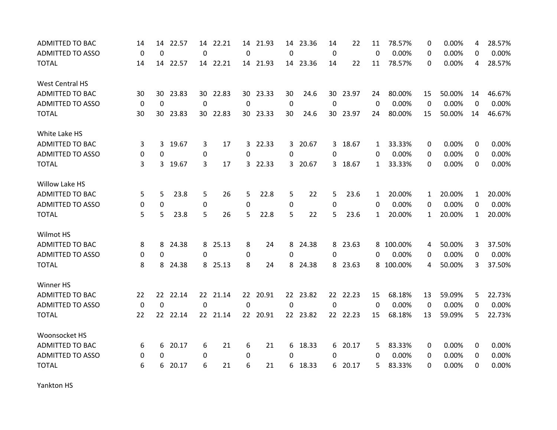| ADMITTED TO BAC         | 14       | 14       | 22.57    |             | 14 22.21 |          | 14 21.93 |             | 14 23.36 | 14       | 22       | 11           | 78.57%    | $\Omega$     | 0.00%  | 4            | 28.57% |
|-------------------------|----------|----------|----------|-------------|----------|----------|----------|-------------|----------|----------|----------|--------------|-----------|--------------|--------|--------------|--------|
| <b>ADMITTED TO ASSO</b> | 0        | $\Omega$ |          | 0           |          | 0        |          | 0           |          | 0        |          | $\Omega$     | 0.00%     | 0            | 0.00%  | 0            | 0.00%  |
| <b>TOTAL</b>            | 14       |          | 14 22.57 |             | 14 22.21 |          | 14 21.93 |             | 14 23.36 | 14       | 22       | 11           | 78.57%    | $\Omega$     | 0.00%  | 4            | 28.57% |
| <b>West Central HS</b>  |          |          |          |             |          |          |          |             |          |          |          |              |           |              |        |              |        |
| <b>ADMITTED TO BAC</b>  | 30       | 30.      | 23.83    |             | 30 22.83 |          | 30 23.33 | 30          | 24.6     |          | 30 23.97 | 24           | 80.00%    | 15           | 50.00% | 14           | 46.67% |
| <b>ADMITTED TO ASSO</b> | 0        | 0        |          | 0           |          | 0        |          | 0           |          | $\Omega$ |          | $\Omega$     | 0.00%     | 0            | 0.00%  | 0            | 0.00%  |
| <b>TOTAL</b>            | 30       | 30       | 23.83    |             | 30 22.83 |          | 30 23.33 | 30          | 24.6     |          | 30 23.97 | 24           | 80.00%    | 15           | 50.00% | 14           | 46.67% |
| White Lake HS           |          |          |          |             |          |          |          |             |          |          |          |              |           |              |        |              |        |
| ADMITTED TO BAC         | 3        | 3        | 19.67    | 3           | 17       |          | 3 22.33  |             | 3 20.67  |          | 3 18.67  | 1            | 33.33%    | 0            | 0.00%  | 0            | 0.00%  |
| <b>ADMITTED TO ASSO</b> | 0        | 0        |          | 0           |          | $\Omega$ |          | 0           |          | 0        |          | 0            | 0.00%     | 0            | 0.00%  | $\Omega$     | 0.00%  |
| <b>TOTAL</b>            | 3        | 3        | 19.67    | 3           | 17       |          | 3 22.33  |             | 3 20.67  |          | 3 18.67  | $\mathbf{1}$ | 33.33%    | $\Omega$     | 0.00%  | $\Omega$     | 0.00%  |
| Willow Lake HS          |          |          |          |             |          |          |          |             |          |          |          |              |           |              |        |              |        |
| ADMITTED TO BAC         | 5        | 5        | 23.8     | 5           | 26       | 5        | 22.8     | 5           | 22       | 5        | 23.6     | 1            | 20.00%    | $\mathbf{1}$ | 20.00% | $\mathbf{1}$ | 20.00% |
| <b>ADMITTED TO ASSO</b> | 0        | 0        |          | $\mathbf 0$ |          | 0        |          | 0           |          | 0        |          | 0            | 0.00%     | 0            | 0.00%  | $\Omega$     | 0.00%  |
| <b>TOTAL</b>            | 5        | 5        | 23.8     | 5           | 26       | 5        | 22.8     | 5           | 22       | 5        | 23.6     | 1            | 20.00%    | $\mathbf{1}$ | 20.00% | $\mathbf{1}$ | 20.00% |
| Wilmot HS               |          |          |          |             |          |          |          |             |          |          |          |              |           |              |        |              |        |
| ADMITTED TO BAC         | 8        | 8        | 24.38    | 8           | 25.13    | 8        | 24       |             | 8 24.38  |          | 8 23.63  |              | 8 100.00% | 4            | 50.00% | 3            | 37.50% |
| <b>ADMITTED TO ASSO</b> | 0        | 0        |          | 0           |          | 0        |          | 0           |          | 0        |          | 0            | 0.00%     | $\Omega$     | 0.00%  | $\Omega$     | 0.00%  |
| <b>TOTAL</b>            | 8        | 8        | 24.38    |             | 8 25.13  | 8        | 24       |             | 8 24.38  |          | 8 23.63  |              | 8 100.00% | 4            | 50.00% | 3            | 37.50% |
| Winner HS               |          |          |          |             |          |          |          |             |          |          |          |              |           |              |        |              |        |
| ADMITTED TO BAC         | 22       | 22.      | 22.14    |             | 22 21.14 |          | 22 20.91 |             | 22 23.82 |          | 22 22.23 | 15           | 68.18%    | 13           | 59.09% | 5            | 22.73% |
| <b>ADMITTED TO ASSO</b> | 0        | $\Omega$ |          | 0           |          | 0        |          | $\mathbf 0$ |          | $\Omega$ |          | $\Omega$     | 0.00%     | $\Omega$     | 0.00%  | $\Omega$     | 0.00%  |
| <b>TOTAL</b>            | 22       | 22.      | 22.14    |             | 22 21.14 |          | 22 20.91 |             | 22 23.82 |          | 22 22.23 | 15           | 68.18%    | 13           | 59.09% | 5            | 22.73% |
| Woonsocket HS           |          |          |          |             |          |          |          |             |          |          |          |              |           |              |        |              |        |
| <b>ADMITTED TO BAC</b>  | 6        | 6        | 20.17    | 6           | 21       | 6        | 21       |             | 6 18.33  |          | 6 20.17  | 5            | 83.33%    | 0            | 0.00%  | 0            | 0.00%  |
| <b>ADMITTED TO ASSO</b> | $\Omega$ | $\Omega$ |          | 0           |          | $\Omega$ |          | 0           |          | 0        |          | 0            | 0.00%     | 0            | 0.00%  | $\Omega$     | 0.00%  |
| <b>TOTAL</b>            | 6        | 6        | 20.17    | 6           | 21       | 6        | 21       | 6.          | 18.33    |          | 6 20.17  | 5            | 83.33%    | 0            | 0.00%  | $\Omega$     | 0.00%  |

Yankton HS